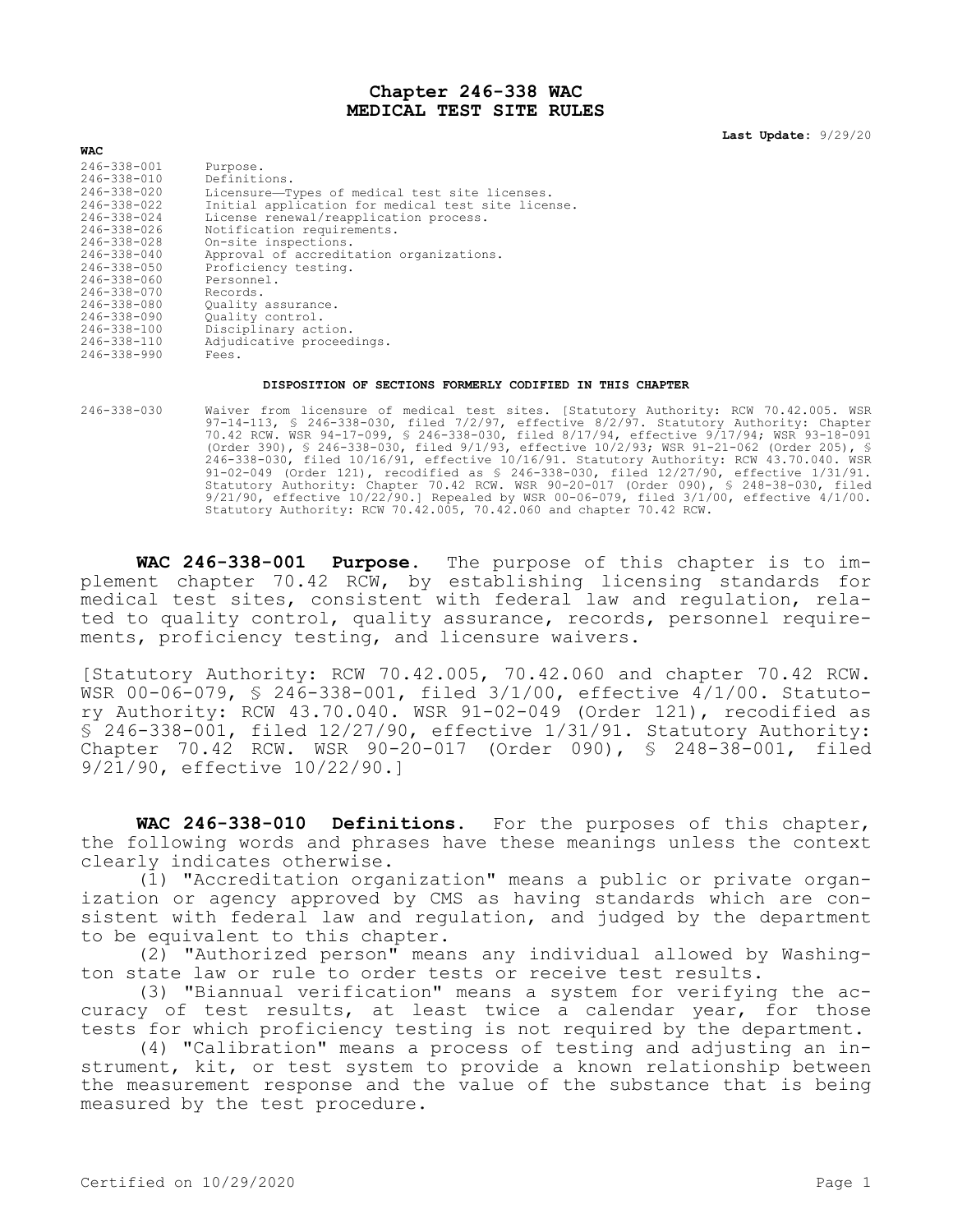### **Chapter 246-338 WAC MEDICAL TEST SITE RULES**

**Last Update:** 9/29/20

| 246-338-001<br>$246 - 338 - 010$<br>246-338-020<br>$246 - 338 - 022$<br>246-338-024<br>$246 - 338 - 026$<br>246-338-028<br>$246 - 338 - 040$<br>246-338-050<br>$246 - 338 - 060$<br>246-338-070<br>$246 - 338 - 080$<br>$246 - 338 - 090$<br>$246 - 338 - 100$<br>246-338-110 | Purpose.<br>Definitions.<br>Licensure-Types of medical test site licenses.<br>Initial application for medical test site license.<br>License renewal/reapplication process.<br>Notification requirements.<br>On-site inspections.<br>Approval of accreditation organizations.<br>Proficiency testing.<br>Personnel.<br>Records.<br>Quality assurance.<br>Ouality control.<br>Disciplinary action.<br>Adjudicative proceedings. |
|-------------------------------------------------------------------------------------------------------------------------------------------------------------------------------------------------------------------------------------------------------------------------------|-------------------------------------------------------------------------------------------------------------------------------------------------------------------------------------------------------------------------------------------------------------------------------------------------------------------------------------------------------------------------------------------------------------------------------|
| $246 - 338 - 990$                                                                                                                                                                                                                                                             | Fees.                                                                                                                                                                                                                                                                                                                                                                                                                         |
|                                                                                                                                                                                                                                                                               |                                                                                                                                                                                                                                                                                                                                                                                                                               |

#### **DISPOSITION OF SECTIONS FORMERLY CODIFIED IN THIS CHAPTER**

**WAC**

246-338-030 Waiver from licensure of medical test sites. [Statutory Authority: RCW 70.42.005. WSR 97-14-113, § 246-338-030, filed 7/2/97, effective 8/2/97. Statutory Authority: Chapter 70.42 RCW. WSR 94-17-099, § 246-338-030, filed 8/17/94, effective 9/17/94; WSR 93-18-091 (Order 390), § 246-338-030, filed 9/1/93, effective 10/2/93; WSR 91-21-062 (Order 205), § 246-338-030, filed 10/16/91, effective 10/16/91. Statutory Authority: RCW 43.70.040. WSR 91-02-049 (Order 121), recodified as § 246-338-030, filed 12/27/90, effective 1/31/91. Statutory Authority: Chapter 70.42 RCW. WSR 90-20-017 (Order 090), § 248-38-030, filed 9/21/90, effective 10/22/90.] Repealed by WSR 00-06-079, filed 3/1/00, effective 4/1/00. Statutory Authority: RCW 70.42.005, 70.42.060 and chapter 70.42 RCW.

**WAC 246-338-001 Purpose.** The purpose of this chapter is to implement chapter 70.42 RCW, by establishing licensing standards for medical test sites, consistent with federal law and regulation, related to quality control, quality assurance, records, personnel requirements, proficiency testing, and licensure waivers.

[Statutory Authority: RCW 70.42.005, 70.42.060 and chapter 70.42 RCW. WSR 00-06-079, § 246-338-001, filed 3/1/00, effective 4/1/00. Statutory Authority: RCW 43.70.040. WSR 91-02-049 (Order 121), recodified as § 246-338-001, filed 12/27/90, effective 1/31/91. Statutory Authority: Chapter 70.42 RCW. WSR 90-20-017 (Order 090), § 248-38-001, filed 9/21/90, effective 10/22/90.]

**WAC 246-338-010 Definitions.** For the purposes of this chapter, the following words and phrases have these meanings unless the context clearly indicates otherwise.

(1) "Accreditation organization" means a public or private organization or agency approved by CMS as having standards which are consistent with federal law and regulation, and judged by the department to be equivalent to this chapter.

(2) "Authorized person" means any individual allowed by Washington state law or rule to order tests or receive test results.

(3) "Biannual verification" means a system for verifying the accuracy of test results, at least twice a calendar year, for those tests for which proficiency testing is not required by the department.

(4) "Calibration" means a process of testing and adjusting an instrument, kit, or test system to provide a known relationship between the measurement response and the value of the substance that is being measured by the test procedure.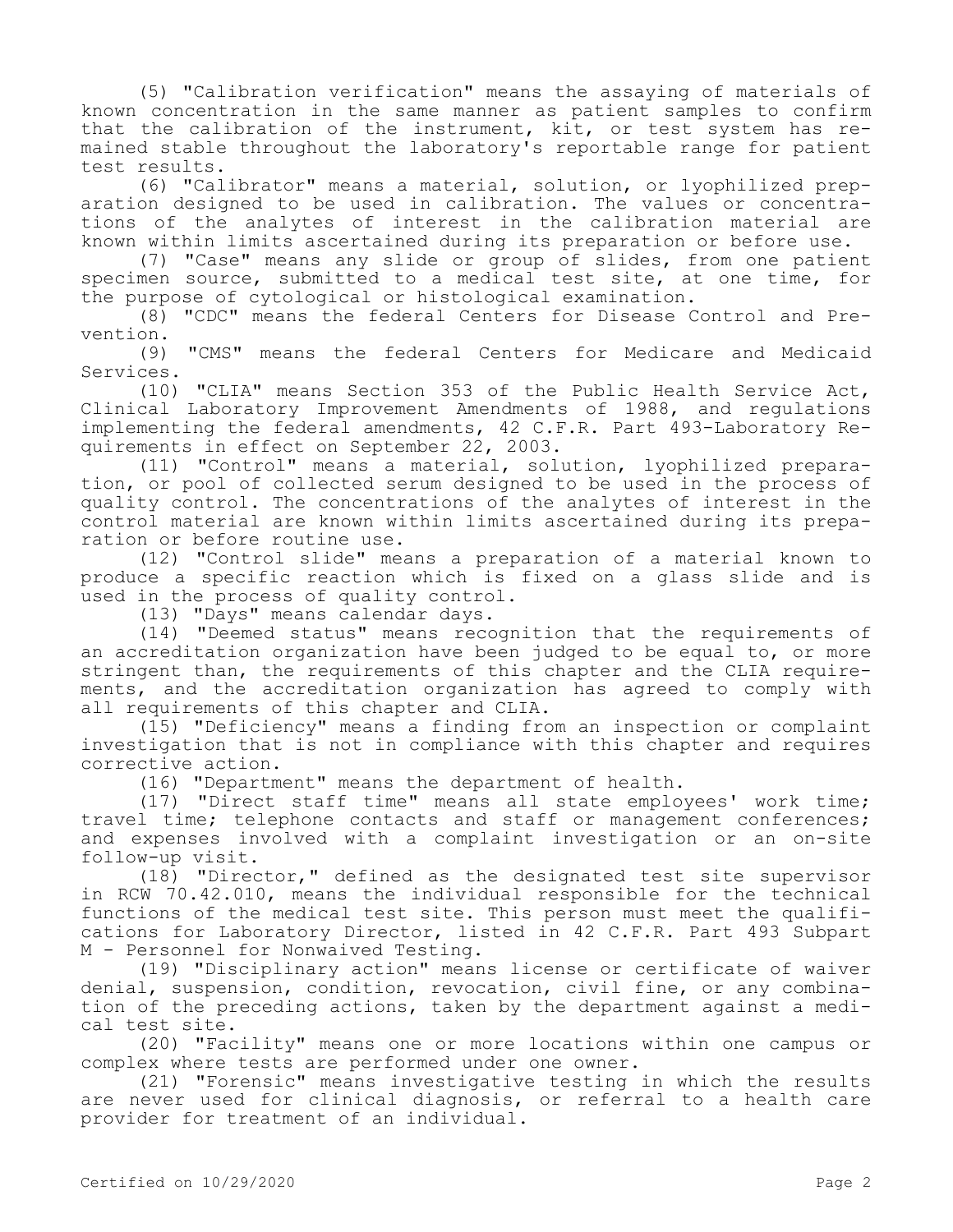(5) "Calibration verification" means the assaying of materials of known concentration in the same manner as patient samples to confirm that the calibration of the instrument, kit, or test system has remained stable throughout the laboratory's reportable range for patient test results.

(6) "Calibrator" means a material, solution, or lyophilized preparation designed to be used in calibration. The values or concentrations of the analytes of interest in the calibration material are known within limits ascertained during its preparation or before use.

(7) "Case" means any slide or group of slides, from one patient specimen source, submitted to a medical test site, at one time, for the purpose of cytological or histological examination.

(8) "CDC" means the federal Centers for Disease Control and Prevention.

(9) "CMS" means the federal Centers for Medicare and Medicaid Services.

(10) "CLIA" means Section 353 of the Public Health Service Act, Clinical Laboratory Improvement Amendments of 1988, and regulations implementing the federal amendments, 42 C.F.R. Part 493-Laboratory Requirements in effect on September 22, 2003.

(11) "Control" means a material, solution, lyophilized preparation, or pool of collected serum designed to be used in the process of quality control. The concentrations of the analytes of interest in the control material are known within limits ascertained during its preparation or before routine use.

(12) "Control slide" means a preparation of a material known to produce a specific reaction which is fixed on a glass slide and is used in the process of quality control.

(13) "Days" means calendar days.

(14) "Deemed status" means recognition that the requirements of an accreditation organization have been judged to be equal to, or more stringent than, the requirements of this chapter and the CLIA requirements, and the accreditation organization has agreed to comply with all requirements of this chapter and CLIA.

(15) "Deficiency" means a finding from an inspection or complaint investigation that is not in compliance with this chapter and requires corrective action.

(16) "Department" means the department of health.

(17) "Direct staff time" means all state employees' work time; travel time; telephone contacts and staff or management conferences; and expenses involved with a complaint investigation or an on-site follow-up visit.

(18) "Director," defined as the designated test site supervisor in RCW 70.42.010, means the individual responsible for the technical functions of the medical test site. This person must meet the qualifications for Laboratory Director, listed in 42 C.F.R. Part 493 Subpart M - Personnel for Nonwaived Testing.

(19) "Disciplinary action" means license or certificate of waiver denial, suspension, condition, revocation, civil fine, or any combination of the preceding actions, taken by the department against a medical test site.

(20) "Facility" means one or more locations within one campus or complex where tests are performed under one owner.

(21) "Forensic" means investigative testing in which the results are never used for clinical diagnosis, or referral to a health care provider for treatment of an individual.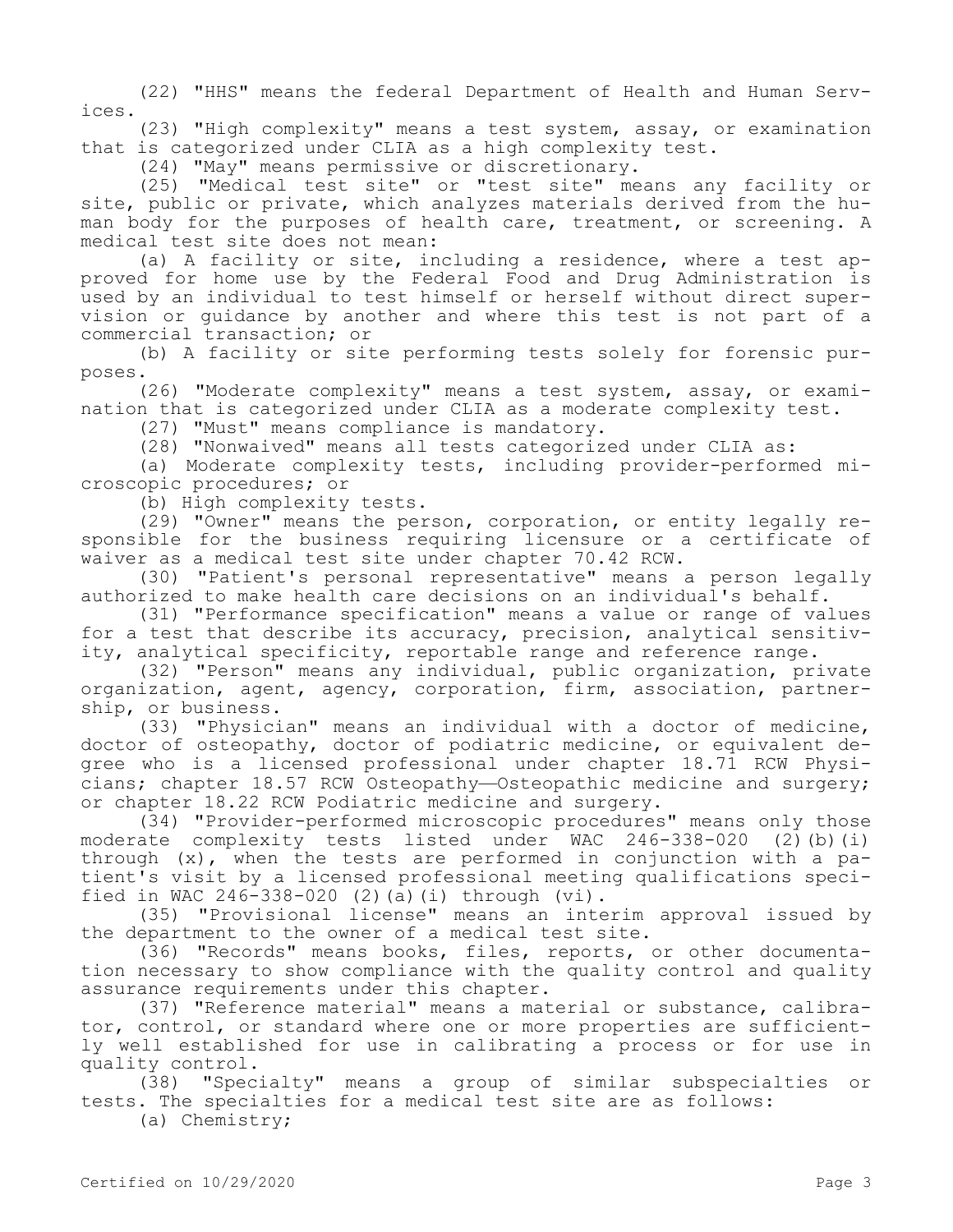(22) "HHS" means the federal Department of Health and Human Services.

(23) "High complexity" means a test system, assay, or examination that is categorized under CLIA as a high complexity test.

(24) "May" means permissive or discretionary.

(25) "Medical test site" or "test site" means any facility or site, public or private, which analyzes materials derived from the human body for the purposes of health care, treatment, or screening. A medical test site does not mean:

(a) A facility or site, including a residence, where a test approved for home use by the Federal Food and Drug Administration is used by an individual to test himself or herself without direct supervision or guidance by another and where this test is not part of a commercial transaction; or

(b) A facility or site performing tests solely for forensic purposes.

(26) "Moderate complexity" means a test system, assay, or examination that is categorized under CLIA as a moderate complexity test.

(27) "Must" means compliance is mandatory.

(28) "Nonwaived" means all tests categorized under CLIA as:

(a) Moderate complexity tests, including provider-performed microscopic procedures; or

(b) High complexity tests.

(29) "Owner" means the person, corporation, or entity legally responsible for the business requiring licensure or a certificate of waiver as a medical test site under chapter 70.42 RCW.

(30) "Patient's personal representative" means a person legally authorized to make health care decisions on an individual's behalf.

(31) "Performance specification" means a value or range of values for a test that describe its accuracy, precision, analytical sensitivity, analytical specificity, reportable range and reference range.

(32) "Person" means any individual, public organization, private organization, agent, agency, corporation, firm, association, partnership, or business.

(33) "Physician" means an individual with a doctor of medicine, doctor of osteopathy, doctor of podiatric medicine, or equivalent degree who is a licensed professional under chapter 18.71 RCW Physicians; chapter 18.57 RCW Osteopathy—Osteopathic medicine and surgery; or chapter 18.22 RCW Podiatric medicine and surgery.

(34) "Provider-performed microscopic procedures" means only those moderate complexity tests listed under WAC 246-338-020 (2)(b)(i) through (x), when the tests are performed in conjunction with a patient's visit by a licensed professional meeting qualifications specified in WAC 246-338-020 (2)(a)(i) through  $(vi)$ .

(35) "Provisional license" means an interim approval issued by the department to the owner of a medical test site.

(36) "Records" means books, files, reports, or other documentation necessary to show compliance with the quality control and quality assurance requirements under this chapter.

(37) "Reference material" means a material or substance, calibrator, control, or standard where one or more properties are sufficiently well established for use in calibrating a process or for use in quality control.

(38) "Specialty" means a group of similar subspecialties or tests. The specialties for a medical test site are as follows:

(a) Chemistry;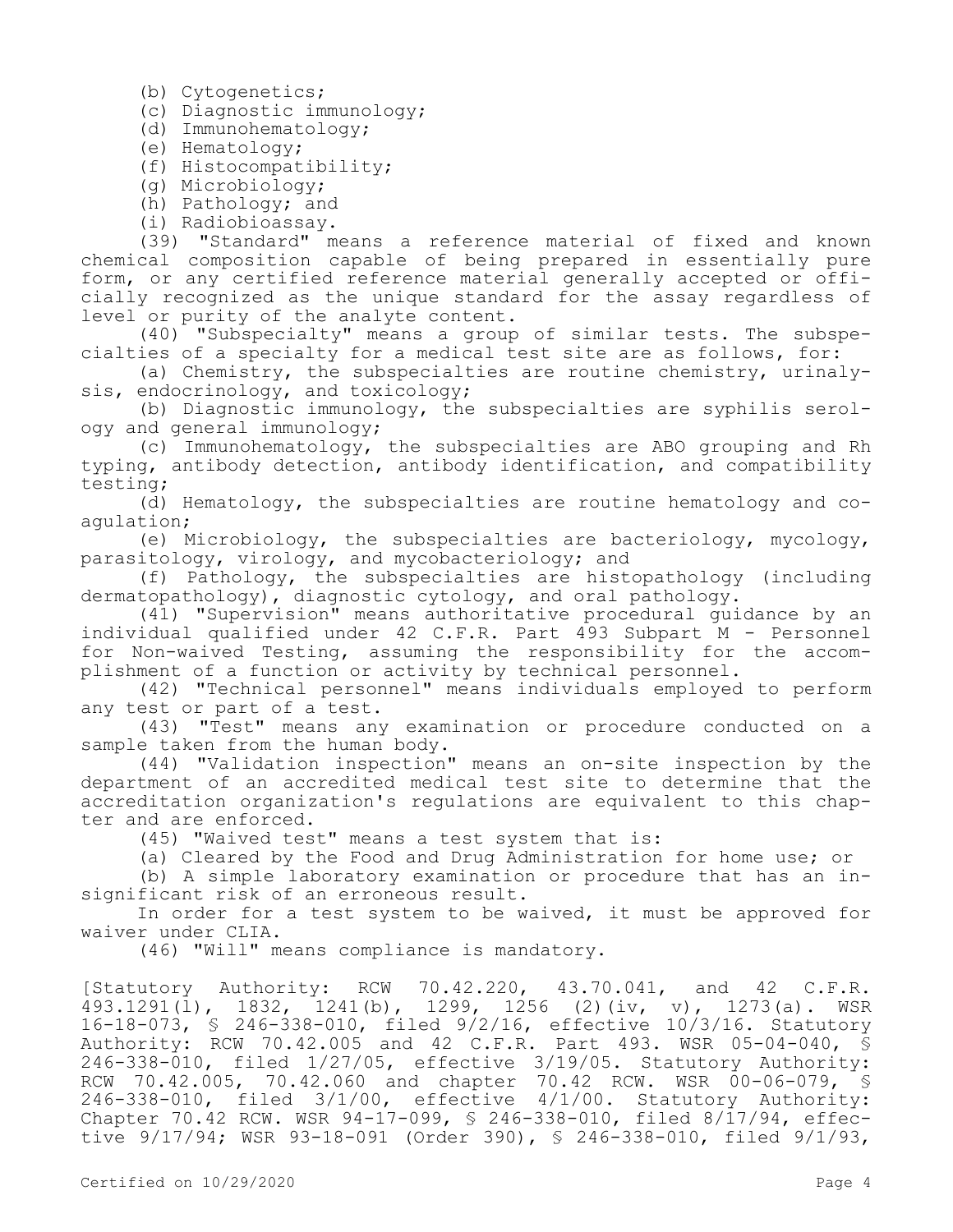(b) Cytogenetics;

(c) Diagnostic immunology;

- (d) Immunohematology;
- (e) Hematology;
- (f) Histocompatibility;
- (g) Microbiology;
- (h) Pathology; and
- (i) Radiobioassay.

(39) "Standard" means a reference material of fixed and known chemical composition capable of being prepared in essentially pure form, or any certified reference material generally accepted or officially recognized as the unique standard for the assay regardless of level or purity of the analyte content.

(40) "Subspecialty" means a group of similar tests. The subspecialties of a specialty for a medical test site are as follows, for:

(a) Chemistry, the subspecialties are routine chemistry, urinalysis, endocrinology, and toxicology;

(b) Diagnostic immunology, the subspecialties are syphilis serology and general immunology;

(c) Immunohematology, the subspecialties are ABO grouping and Rh typing, antibody detection, antibody identification, and compatibility testing;

(d) Hematology, the subspecialties are routine hematology and coagulation;

(e) Microbiology, the subspecialties are bacteriology, mycology, parasitology, virology, and mycobacteriology; and

(f) Pathology, the subspecialties are histopathology (including dermatopathology), diagnostic cytology, and oral pathology.

(41) "Supervision" means authoritative procedural guidance by an individual qualified under 42 C.F.R. Part  $493$  Subpart M - Personnel for Non-waived Testing, assuming the responsibility for the accomplishment of a function or activity by technical personnel.

(42) "Technical personnel" means individuals employed to perform any test or part of a test.

(43) "Test" means any examination or procedure conducted on a sample taken from the human body.

(44) "Validation inspection" means an on-site inspection by the department of an accredited medical test site to determine that the accreditation organization's regulations are equivalent to this chapter and are enforced.

(45) "Waived test" means a test system that is:

(a) Cleared by the Food and Drug Administration for home use; or

(b) A simple laboratory examination or procedure that has an insignificant risk of an erroneous result.

In order for a test system to be waived, it must be approved for waiver under CLIA.

(46) "Will" means compliance is mandatory.

[Statutory Authority: RCW 70.42.220, 43.70.041, and 42 C.F.R. 493.1291(l), 1832, 1241(b), 1299, 1256 (2)(iv, v), 1273(a). WSR 16-18-073, § 246-338-010, filed 9/2/16, effective 10/3/16. Statutory Authority: RCW 70.42.005 and 42 C.F.R. Part 493. WSR 05-04-040, § 246-338-010, filed 1/27/05, effective 3/19/05. Statutory Authority: RCW 70.42.005, 70.42.060 and chapter 70.42 RCW. WSR 00-06-079, § 246-338-010, filed 3/1/00, effective 4/1/00. Statutory Authority: Chapter 70.42 RCW. WSR 94-17-099, § 246-338-010, filed 8/17/94, effective 9/17/94; WSR 93-18-091 (Order 390), § 246-338-010, filed 9/1/93,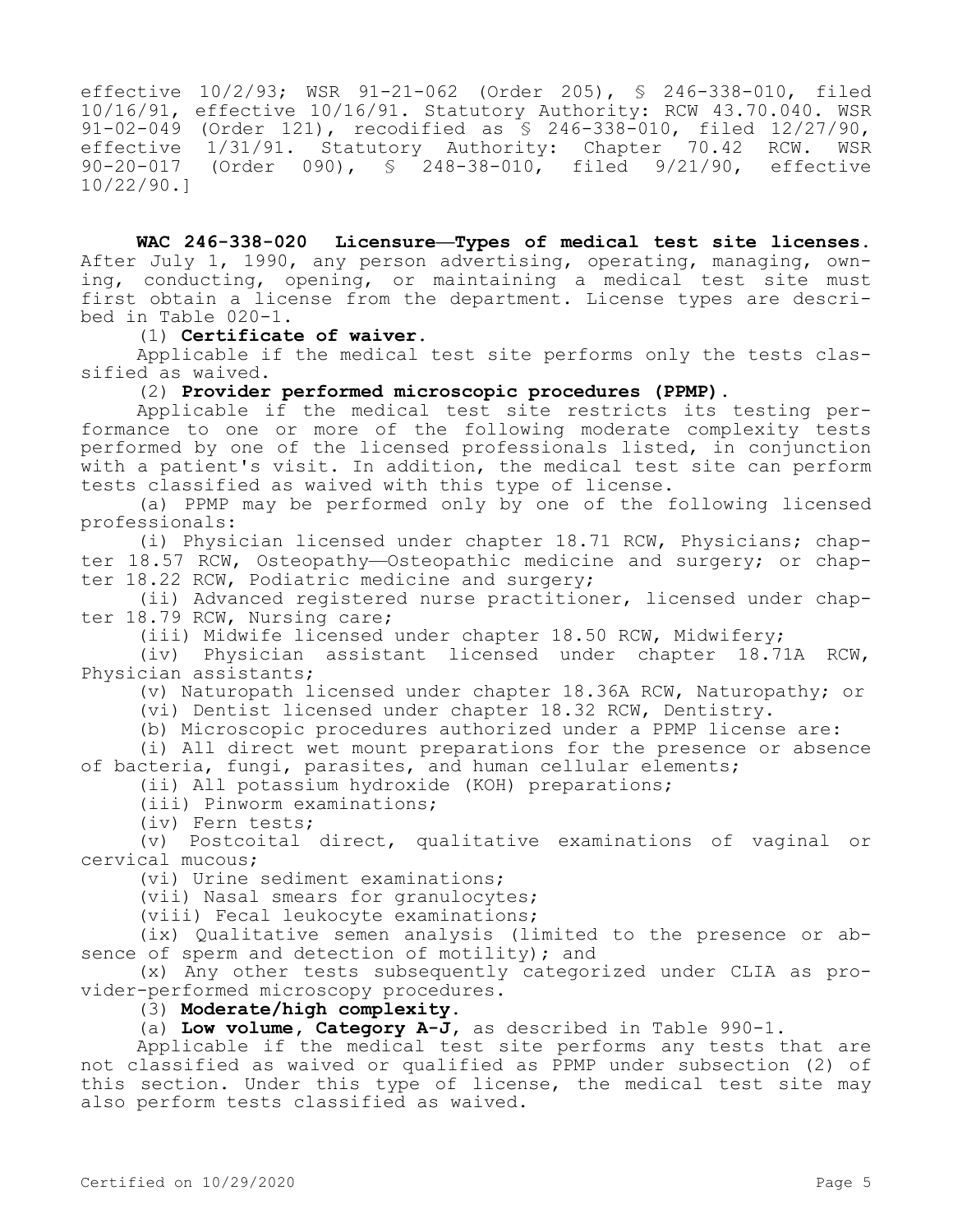effective 10/2/93; WSR 91-21-062 (Order 205), § 246-338-010, filed 10/16/91, effective 10/16/91. Statutory Authority: RCW 43.70.040. WSR 91-02-049 (Order 121), recodified as § 246-338-010, filed 12/27/90, effective 1/31/91. Statutory Authority: Chapter 70.42 RCW. WSR 90-20-017 (Order 090), § 248-38-010, filed 9/21/90, effective 10/22/90.]

**WAC 246-338-020 Licensure—Types of medical test site licenses.**  After July 1, 1990, any person advertising, operating, managing, owning, conducting, opening, or maintaining a medical test site must first obtain a license from the department. License types are described in Table 020-1.

#### (1) **Certificate of waiver.**

Applicable if the medical test site performs only the tests classified as waived.

(2) **Provider performed microscopic procedures (PPMP).**

Applicable if the medical test site restricts its testing performance to one or more of the following moderate complexity tests performed by one of the licensed professionals listed, in conjunction with a patient's visit. In addition, the medical test site can perform tests classified as waived with this type of license.

(a) PPMP may be performed only by one of the following licensed professionals:

(i) Physician licensed under chapter 18.71 RCW, Physicians; chapter 18.57 RCW, Osteopathy—Osteopathic medicine and surgery; or chapter 18.22 RCW, Podiatric medicine and surgery;

(ii) Advanced registered nurse practitioner, licensed under chapter 18.79 RCW, Nursing care;

(iii) Midwife licensed under chapter 18.50 RCW, Midwifery;

(iv) Physician assistant licensed under chapter 18.71A RCW, Physician assistants;

(v) Naturopath licensed under chapter 18.36A RCW, Naturopathy; or

(vi) Dentist licensed under chapter 18.32 RCW, Dentistry.

(b) Microscopic procedures authorized under a PPMP license are:

(i) All direct wet mount preparations for the presence or absence of bacteria, fungi, parasites, and human cellular elements;

(ii) All potassium hydroxide (KOH) preparations;

(iii) Pinworm examinations;

(iv) Fern tests;

(v) Postcoital direct, qualitative examinations of vaginal or cervical mucous;

(vi) Urine sediment examinations;

(vii) Nasal smears for granulocytes;

(viii) Fecal leukocyte examinations;

(ix) Qualitative semen analysis (limited to the presence or absence of sperm and detection of motility); and

(x) Any other tests subsequently categorized under CLIA as provider-performed microscopy procedures.

(3) **Moderate/high complexity.**

(a) **Low volume, Category A-J,** as described in Table 990-1.

Applicable if the medical test site performs any tests that are not classified as waived or qualified as PPMP under subsection (2) of this section. Under this type of license, the medical test site may also perform tests classified as waived.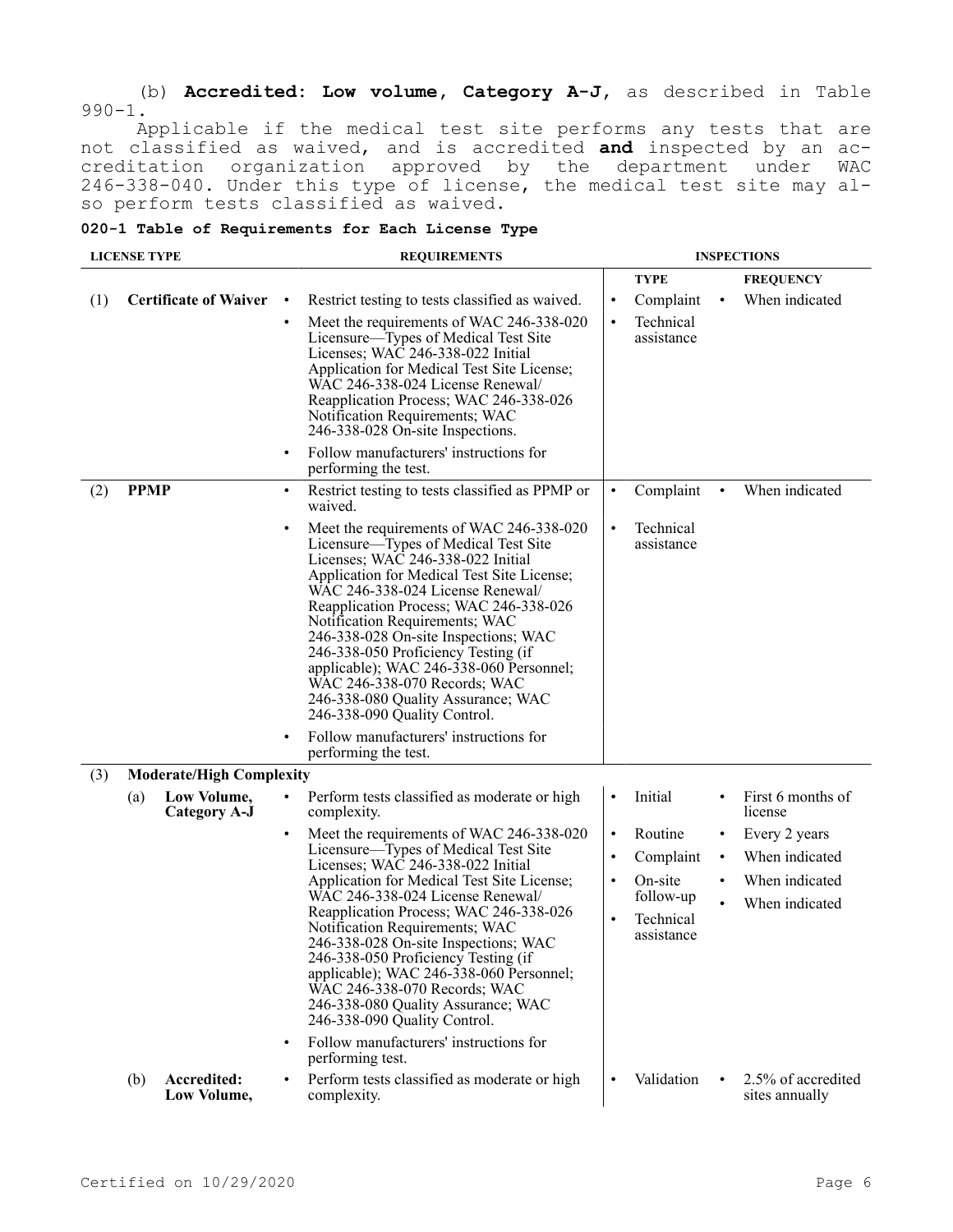(b) **Accredited: Low volume, Category A-J,** as described in Table 990-1.

Applicable if the medical test site performs any tests that are not classified as waived, and is accredited **and** inspected by an accreditation organization approved by the department under WAC 246-338-040. Under this type of license, the medical test site may also perform tests classified as waived.

|  |  |  | 020-1 Table of Requirements for Each License Type |  |  |  |  |
|--|--|--|---------------------------------------------------|--|--|--|--|
|--|--|--|---------------------------------------------------|--|--|--|--|

| <b>LICENSE TYPE</b>                 |             |                                    | <b>REQUIREMENTS</b>                                                                                                                                                                                                                                                                                                                                                                                                                                                                                                                                                                                                                                           |                                                               | <b>INSPECTIONS</b>                                                                 |           |                                                                                                     |  |
|-------------------------------------|-------------|------------------------------------|---------------------------------------------------------------------------------------------------------------------------------------------------------------------------------------------------------------------------------------------------------------------------------------------------------------------------------------------------------------------------------------------------------------------------------------------------------------------------------------------------------------------------------------------------------------------------------------------------------------------------------------------------------------|---------------------------------------------------------------|------------------------------------------------------------------------------------|-----------|-----------------------------------------------------------------------------------------------------|--|
|                                     |             |                                    |                                                                                                                                                                                                                                                                                                                                                                                                                                                                                                                                                                                                                                                               |                                                               | <b>TYPE</b>                                                                        |           | <b>FREQUENCY</b>                                                                                    |  |
| <b>Certificate of Waiver</b><br>(1) |             |                                    | Restrict testing to tests classified as waived.<br>$\bullet$<br>Meet the requirements of WAC 246-338-020<br>Licensure—Types of Medical Test Site<br>Licenses; WAC 246-338-022 Initial<br>Application for Medical Test Site License;<br>WAC 246-338-024 License Renewal/<br>Reapplication Process; WAC 246-338-026<br>Notification Requirements; WAC<br>246-338-028 On-site Inspections.<br>Follow manufacturers' instructions for<br>$\bullet$                                                                                                                                                                                                                | $\bullet$<br>$\bullet$                                        | Complaint<br>Technical<br>assistance                                               | $\bullet$ | When indicated                                                                                      |  |
| (2)                                 | <b>PPMP</b> |                                    | performing the test.<br>Restrict testing to tests classified as PPMP or<br>$\bullet$<br>waived.                                                                                                                                                                                                                                                                                                                                                                                                                                                                                                                                                               | $\bullet$                                                     | Complaint                                                                          |           | When indicated                                                                                      |  |
|                                     |             |                                    | Meet the requirements of WAC 246-338-020<br>$\bullet$<br>Licensure—Types of Medical Test Site<br>Licenses; WAC 246-338-022 Initial<br>Application for Medical Test Site License;<br>WAC 246-338-024 License Renewal/<br>Reapplication Process; WAC 246-338-026<br>Notification Requirements; WAC<br>246-338-028 On-site Inspections; WAC<br>246-338-050 Proficiency Testing (if<br>applicable); WAC 246-338-060 Personnel;<br>WAC 246-338-070 Records; WAC<br>246-338-080 Quality Assurance; WAC<br>246-338-090 Quality Control.                                                                                                                              |                                                               | Technical<br>assistance                                                            |           |                                                                                                     |  |
|                                     |             |                                    | Follow manufacturers' instructions for<br>$\bullet$<br>performing the test.                                                                                                                                                                                                                                                                                                                                                                                                                                                                                                                                                                                   |                                                               |                                                                                    |           |                                                                                                     |  |
| (3)                                 |             | <b>Moderate/High Complexity</b>    |                                                                                                                                                                                                                                                                                                                                                                                                                                                                                                                                                                                                                                                               |                                                               |                                                                                    |           |                                                                                                     |  |
|                                     | (a)         | Low Volume,<br><b>Category A-J</b> | Perform tests classified as moderate or high<br>complexity.<br>Meet the requirements of WAC 246-338-020<br>Licensure—Types of Medical Test Site<br>Licenses; WAC 246-338-022 Initial<br>Application for Medical Test Site License;<br>WAC 246-338-024 License Renewal/<br>Reapplication Process; WAC 246-338-026<br>Notification Requirements; WAC<br>246-338-028 On-site Inspections; WAC<br>246-338-050 Proficiency Testing (if<br>applicable); WAC 246-338-060 Personnel;<br>WAC 246-338-070 Records; WAC<br>246-338-080 Quality Assurance; WAC<br>246-338-090 Quality Control.<br>Follow manufacturers' instructions for<br>$\bullet$<br>performing test. | $\bullet$<br>$\bullet$<br>$\bullet$<br>$\bullet$<br>$\bullet$ | Initial<br>Routine<br>Complaint<br>On-site<br>follow-up<br>Technical<br>assistance | $\bullet$ | First 6 months of<br>license<br>Every 2 years<br>When indicated<br>When indicated<br>When indicated |  |
|                                     | (b)         | Accredited:<br>Low Volume,         | Perform tests classified as moderate or high<br>complexity.                                                                                                                                                                                                                                                                                                                                                                                                                                                                                                                                                                                                   | $\bullet$                                                     | Validation                                                                         |           | 2.5% of accredited<br>sites annually                                                                |  |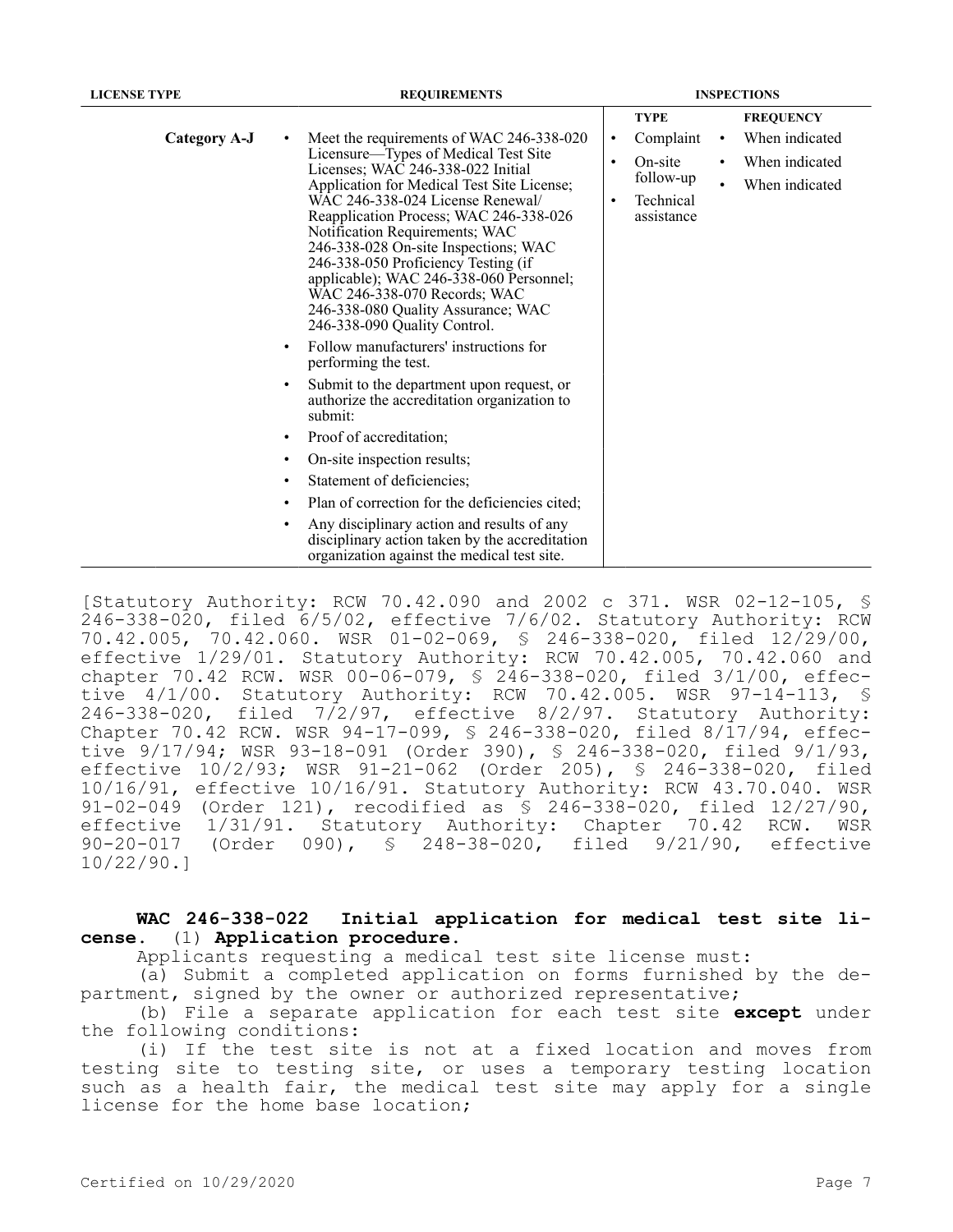| <b>LICENSE TYPE</b> | <b>REQUIREMENTS</b>                                                                                                                                                                                                                                                                                                                                                                                                                                                                              | <b>INSPECTIONS</b>                                                                                                                                                     |  |
|---------------------|--------------------------------------------------------------------------------------------------------------------------------------------------------------------------------------------------------------------------------------------------------------------------------------------------------------------------------------------------------------------------------------------------------------------------------------------------------------------------------------------------|------------------------------------------------------------------------------------------------------------------------------------------------------------------------|--|
|                     |                                                                                                                                                                                                                                                                                                                                                                                                                                                                                                  | <b>TYPE</b><br><b>FREQUENCY</b>                                                                                                                                        |  |
| <b>Category A-J</b> | Meet the requirements of WAC 246-338-020<br>$\bullet$<br>Licensure—Types of Medical Test Site<br>Licenses; WAC 246-338-022 Initial<br>Application for Medical Test Site License;<br>WAC 246-338-024 License Renewal/<br>Reapplication Process; WAC 246-338-026<br>Notification Requirements; WAC<br>246-338-028 On-site Inspections; WAC<br>246-338-050 Proficiency Testing (if<br>applicable); WAC 246-338-060 Personnel;<br>WAC 246-338-070 Records; WAC<br>246-338-080 Quality Assurance; WAC | When indicated<br>Complaint<br>$\bullet$<br>$\bullet$<br>When indicated<br>On-site<br>$\bullet$<br>$\bullet$<br>follow-up<br>When indicated<br>Technical<br>assistance |  |
|                     | 246-338-090 Quality Control.<br>Follow manufacturers' instructions for<br>performing the test.<br>Submit to the department upon request, or<br>authorize the accreditation organization to<br>submit:<br>Proof of accreditation;<br>٠                                                                                                                                                                                                                                                            |                                                                                                                                                                        |  |
|                     | On-site inspection results;<br>Statement of deficiencies;<br>Plan of correction for the deficiencies cited;                                                                                                                                                                                                                                                                                                                                                                                      |                                                                                                                                                                        |  |
|                     |                                                                                                                                                                                                                                                                                                                                                                                                                                                                                                  |                                                                                                                                                                        |  |

• Any disciplinary action and results of any disciplinary action taken by the accreditation organization against the medical test site.

[Statutory Authority: RCW 70.42.090 and 2002 c 371. WSR 02-12-105, § 246-338-020, filed 6/5/02, effective 7/6/02. Statutory Authority: RCW 70.42.005, 70.42.060. WSR 01-02-069, § 246-338-020, filed 12/29/00, effective 1/29/01. Statutory Authority: RCW 70.42.005, 70.42.060 and chapter 70.42 RCW. WSR 00-06-079, § 246-338-020, filed 3/1/00, effective 4/1/00. Statutory Authority: RCW 70.42.005. WSR 97-14-113, § 246-338-020, filed 7/2/97, effective 8/2/97. Statutory Authority: Chapter 70.42 RCW. WSR 94-17-099, § 246-338-020, filed 8/17/94, effective 9/17/94; WSR 93-18-091 (Order 390), § 246-338-020, filed 9/1/93, effective 10/2/93; WSR 91-21-062 (Order 205), § 246-338-020, filed 10/16/91, effective 10/16/91. Statutory Authority: RCW 43.70.040. WSR 91-02-049 (Order 121), recodified as § 246-338-020, filed 12/27/90, effective 1/31/91. Statutory Authority: Chapter 70.42 RCW. WSR 90-20-017 (Order 090), § 248-38-020, filed 9/21/90, effective 10/22/90.]

# **WAC 246-338-022 Initial application for medical test site license.** (1) **Application procedure.**

Applicants requesting a medical test site license must:

(a) Submit a completed application on forms furnished by the department, signed by the owner or authorized representative;

(b) File a separate application for each test site **except** under the following conditions:

(i) If the test site is not at a fixed location and moves from testing site to testing site, or uses a temporary testing location such as a health fair, the medical test site may apply for a single license for the home base location;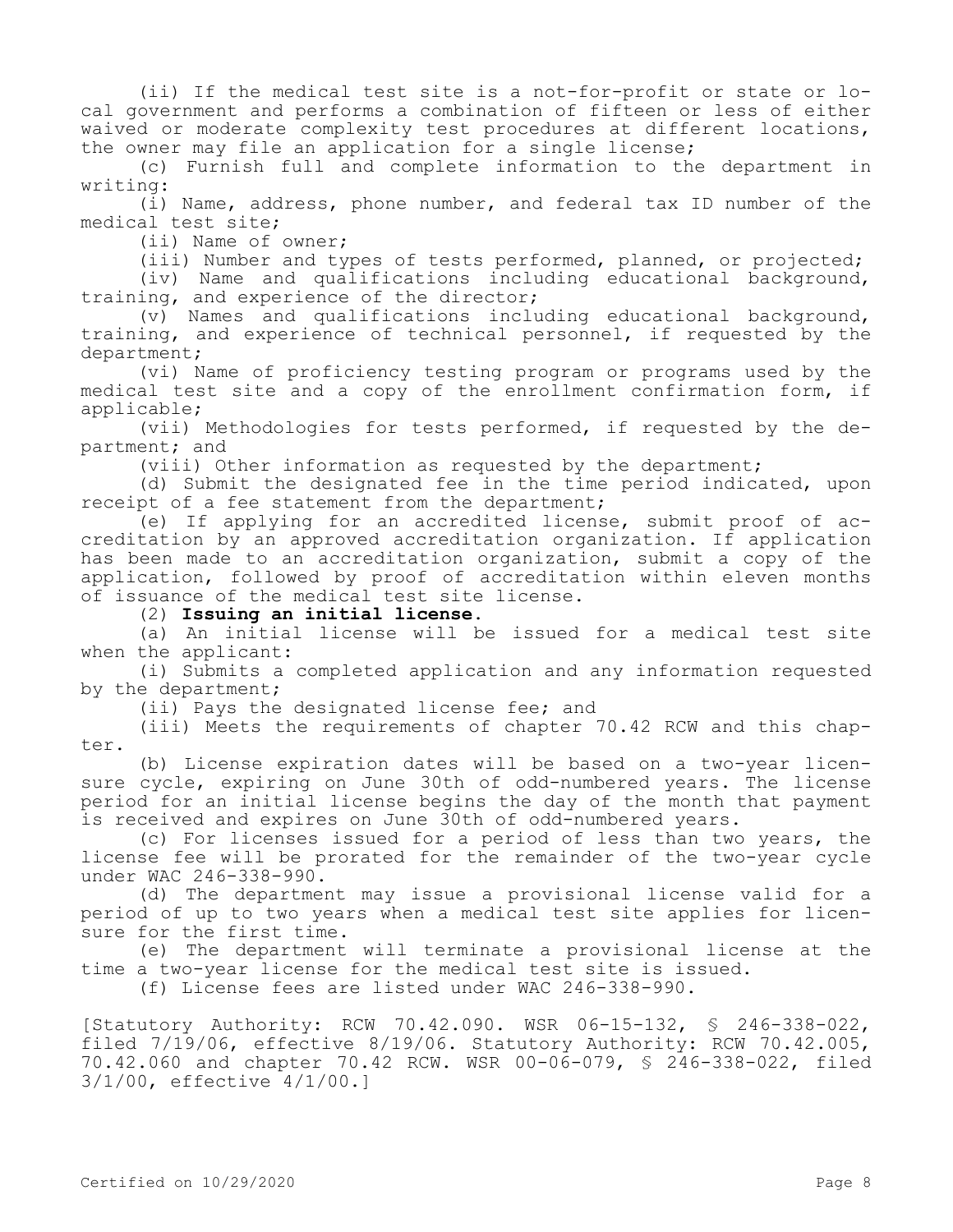(ii) If the medical test site is a not-for-profit or state or local government and performs a combination of fifteen or less of either waived or moderate complexity test procedures at different locations, the owner may file an application for a single license;

(c) Furnish full and complete information to the department in writing:

(i) Name, address, phone number, and federal tax ID number of the medical test site;

(ii) Name of owner;

(iii) Number and types of tests performed, planned, or projected;

(iv) Name and qualifications including educational background, training, and experience of the director;

(v) Names and qualifications including educational background, training, and experience of technical personnel, if requested by the department;

(vi) Name of proficiency testing program or programs used by the medical test site and a copy of the enrollment confirmation form, if applicable;

(vii) Methodologies for tests performed, if requested by the department; and

(viii) Other information as requested by the department;

(d) Submit the designated fee in the time period indicated, upon receipt of a fee statement from the department;

(e) If applying for an accredited license, submit proof of accreditation by an approved accreditation organization. If application has been made to an accreditation organization, submit a copy of the application, followed by proof of accreditation within eleven months of issuance of the medical test site license.

(2) **Issuing an initial license.**

(a) An initial license will be issued for a medical test site when the applicant:

(i) Submits a completed application and any information requested by the department;

(ii) Pays the designated license fee; and

(iii) Meets the requirements of chapter 70.42 RCW and this chapter.

(b) License expiration dates will be based on a two-year licensure cycle, expiring on June 30th of odd-numbered years. The license period for an initial license begins the day of the month that payment is received and expires on June 30th of odd-numbered years.

(c) For licenses issued for a period of less than two years, the license fee will be prorated for the remainder of the two-year cycle under WAC 246-338-990.

(d) The department may issue a provisional license valid for a period of up to two years when a medical test site applies for licensure for the first time.

(e) The department will terminate a provisional license at the time a two-year license for the medical test site is issued.

(f) License fees are listed under WAC 246-338-990.

[Statutory Authority: RCW 70.42.090. WSR 06-15-132, § 246-338-022, filed 7/19/06, effective 8/19/06. Statutory Authority: RCW 70.42.005, 70.42.060 and chapter 70.42 RCW. WSR 00-06-079, § 246-338-022, filed 3/1/00, effective 4/1/00.]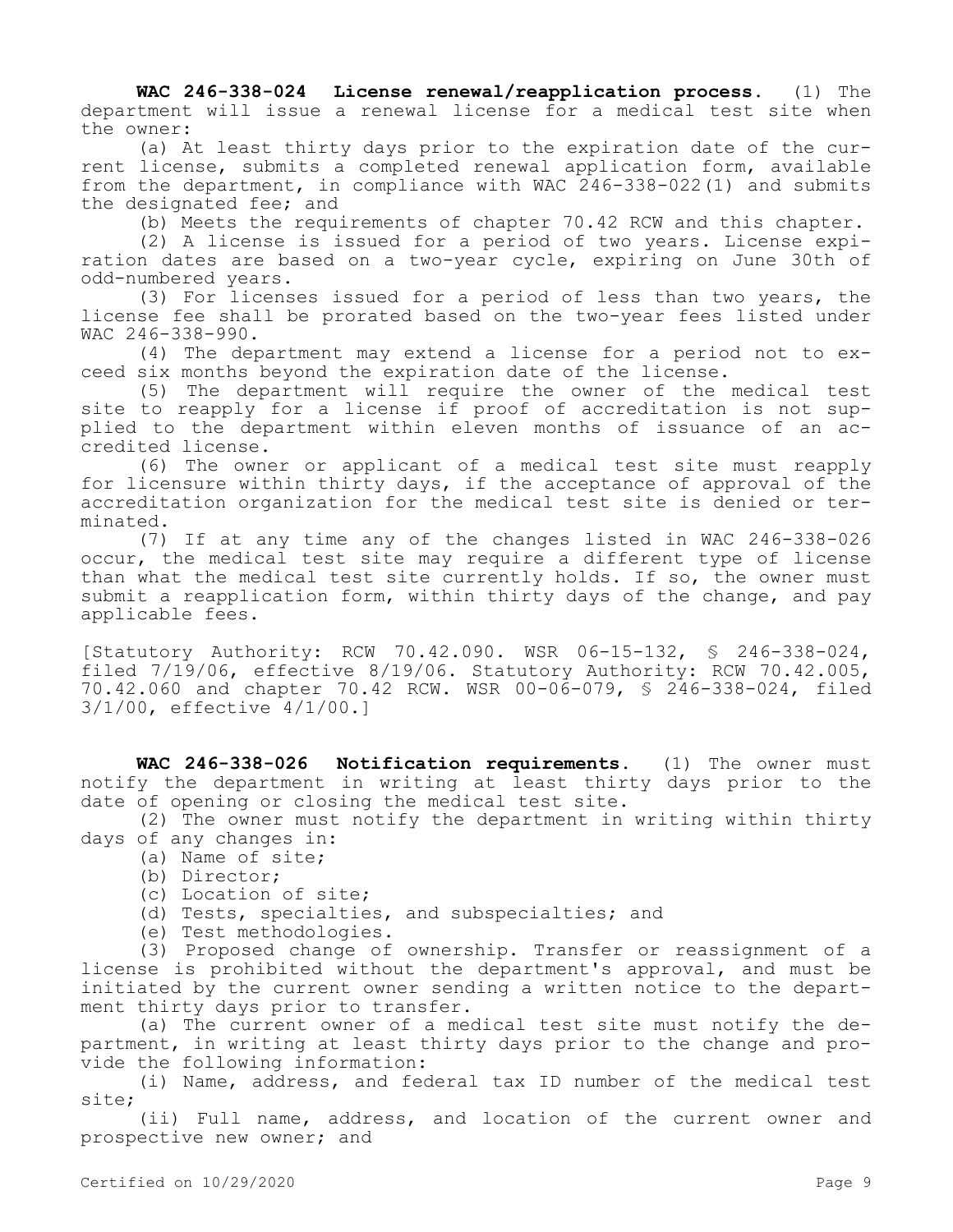**WAC 246-338-024 License renewal/reapplication process.** (1) The department will issue a renewal license for a medical test site when the owner:

(a) At least thirty days prior to the expiration date of the current license, submits a completed renewal application form, available from the department, in compliance with WAC 246-338-022(1) and submits the designated fee; and

(b) Meets the requirements of chapter 70.42 RCW and this chapter.

(2) A license is issued for a period of two years. License expiration dates are based on a two-year cycle, expiring on June 30th of odd-numbered years.

(3) For licenses issued for a period of less than two years, the license fee shall be prorated based on the two-year fees listed under WAC 246-338-990.

(4) The department may extend a license for a period not to exceed six months beyond the expiration date of the license.

(5) The department will require the owner of the medical test site to reapply for a license if proof of accreditation is not supplied to the department within eleven months of issuance of an accredited license.

(6) The owner or applicant of a medical test site must reapply for licensure within thirty days, if the acceptance of approval of the accreditation organization for the medical test site is denied or terminated.

(7) If at any time any of the changes listed in WAC 246-338-026 occur, the medical test site may require a different type of license than what the medical test site currently holds. If so, the owner must submit a reapplication form, within thirty days of the change, and pay applicable fees.

[Statutory Authority: RCW 70.42.090. WSR 06-15-132, § 246-338-024, filed 7/19/06, effective 8/19/06. Statutory Authority: RCW 70.42.005, 70.42.060 and chapter 70.42 RCW. WSR 00-06-079, § 246-338-024, filed 3/1/00, effective 4/1/00.]

**WAC 246-338-026 Notification requirements.** (1) The owner must notify the department in writing at least thirty days prior to the date of opening or closing the medical test site.

(2) The owner must notify the department in writing within thirty days of any changes in:

- (a) Name of site;
- (b) Director;
- (c) Location of site;
- (d) Tests, specialties, and subspecialties; and
- (e) Test methodologies.

(3) Proposed change of ownership. Transfer or reassignment of a license is prohibited without the department's approval, and must be initiated by the current owner sending a written notice to the department thirty days prior to transfer.

(a) The current owner of a medical test site must notify the department, in writing at least thirty days prior to the change and provide the following information:

(i) Name, address, and federal tax ID number of the medical test site;

(ii) Full name, address, and location of the current owner and prospective new owner; and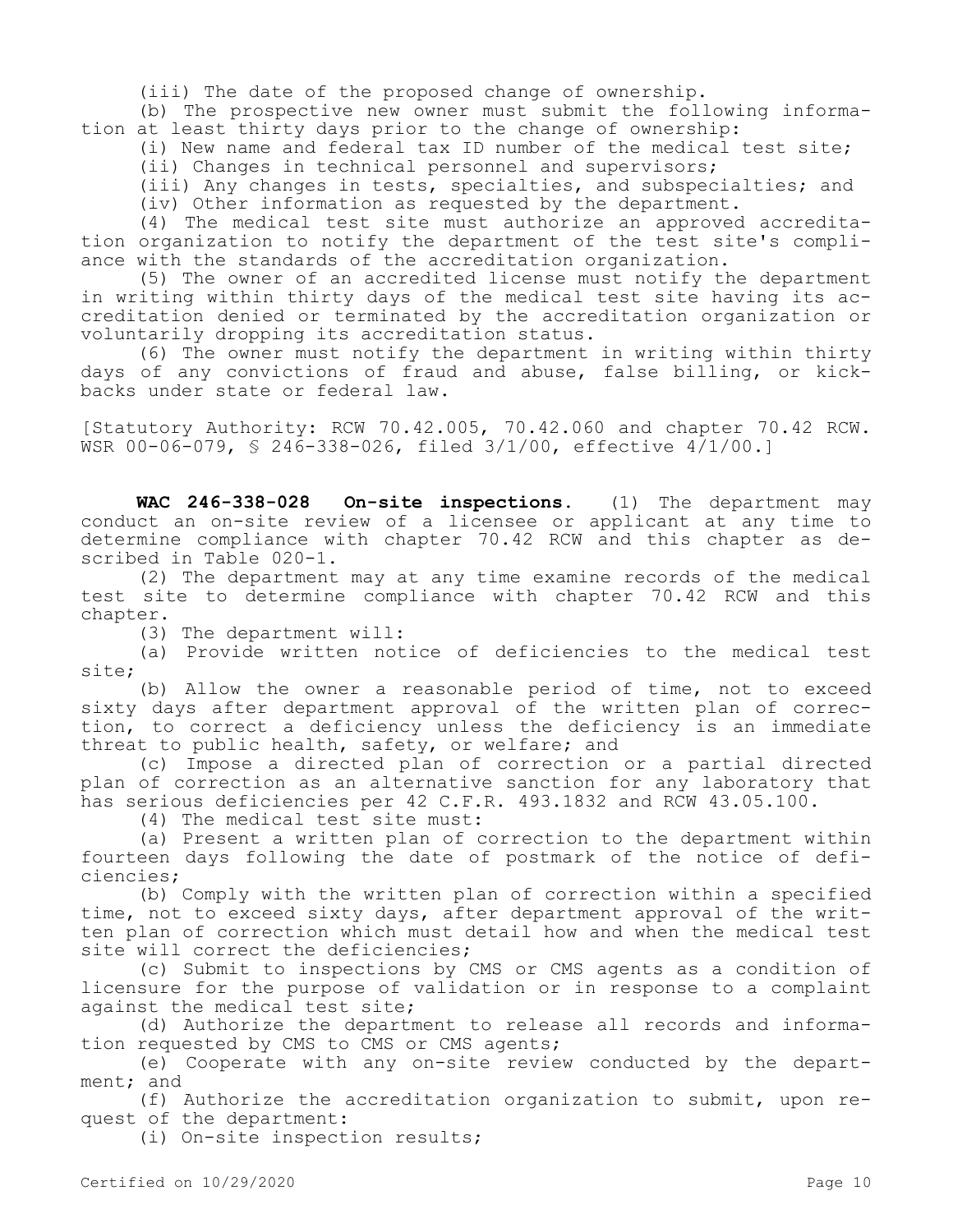(iii) The date of the proposed change of ownership.

(b) The prospective new owner must submit the following information at least thirty days prior to the change of ownership:

(i) New name and federal tax ID number of the medical test site;

(ii) Changes in technical personnel and supervisors;

(iii) Any changes in tests, specialties, and subspecialties; and (iv) Other information as requested by the department.

(4) The medical test site must authorize an approved accreditation organization to notify the department of the test site's compliance with the standards of the accreditation organization.

(5) The owner of an accredited license must notify the department in writing within thirty days of the medical test site having its accreditation denied or terminated by the accreditation organization or voluntarily dropping its accreditation status.

(6) The owner must notify the department in writing within thirty days of any convictions of fraud and abuse, false billing, or kickbacks under state or federal law.

[Statutory Authority: RCW 70.42.005, 70.42.060 and chapter 70.42 RCW. WSR 00-06-079, § 246-338-026, filed 3/1/00, effective 4/1/00.]

**WAC 246-338-028 On-site inspections.** (1) The department may conduct an on-site review of a licensee or applicant at any time to determine compliance with chapter 70.42 RCW and this chapter as described in Table 020-1.

(2) The department may at any time examine records of the medical test site to determine compliance with chapter 70.42 RCW and this chapter.

(3) The department will:

(a) Provide written notice of deficiencies to the medical test site;

(b) Allow the owner a reasonable period of time, not to exceed sixty days after department approval of the written plan of correction, to correct a deficiency unless the deficiency is an immediate threat to public health, safety, or welfare; and

(c) Impose a directed plan of correction or a partial directed plan of correction as an alternative sanction for any laboratory that has serious deficiencies per 42 C.F.R. 493.1832 and RCW 43.05.100.

(4) The medical test site must:

(a) Present a written plan of correction to the department within fourteen days following the date of postmark of the notice of deficiencies;

(b) Comply with the written plan of correction within a specified time, not to exceed sixty days, after department approval of the written plan of correction which must detail how and when the medical test site will correct the deficiencies;

(c) Submit to inspections by CMS or CMS agents as a condition of licensure for the purpose of validation or in response to a complaint against the medical test site;

(d) Authorize the department to release all records and information requested by CMS to CMS or CMS agents;

(e) Cooperate with any on-site review conducted by the department; and

(f) Authorize the accreditation organization to submit, upon request of the department:

(i) On-site inspection results;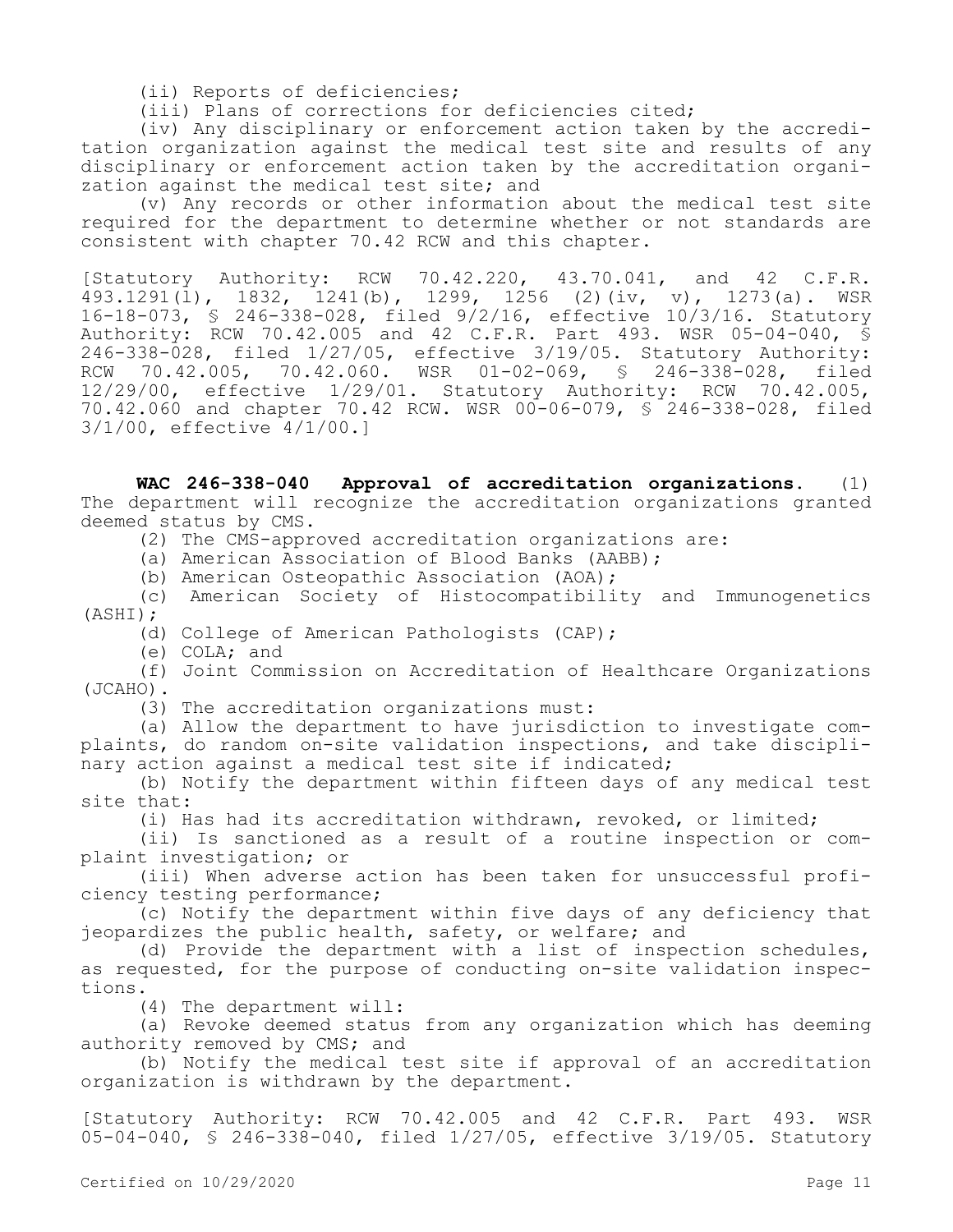(ii) Reports of deficiencies;

(iii) Plans of corrections for deficiencies cited;

(iv) Any disciplinary or enforcement action taken by the accreditation organization against the medical test site and results of any disciplinary or enforcement action taken by the accreditation organization against the medical test site; and

(v) Any records or other information about the medical test site required for the department to determine whether or not standards are consistent with chapter 70.42 RCW and this chapter.

[Statutory Authority: RCW 70.42.220, 43.70.041, and 42 C.F.R. 493.1291(l), 1832, 1241(b), 1299, 1256 (2)(iv, v), 1273(a). WSR 16-18-073, § 246-338-028, filed 9/2/16, effective 10/3/16. Statutory Authority: RCW 70.42.005 and 42 C.F.R. Part 493. WSR 05-04-040, § 246-338-028, filed 1/27/05, effective 3/19/05. Statutory Authority: RCW 70.42.005, 70.42.060. WSR 01-02-069, § 246-338-028, filed 12/29/00, effective 1/29/01. Statutory Authority: RCW 70.42.005, 70.42.060 and chapter 70.42 RCW. WSR 00-06-079, § 246-338-028, filed 3/1/00, effective 4/1/00.]

**WAC 246-338-040 Approval of accreditation organizations.** (1) The department will recognize the accreditation organizations granted deemed status by CMS.

(2) The CMS-approved accreditation organizations are:

(a) American Association of Blood Banks (AABB);

(b) American Osteopathic Association (AOA);

(c) American Society of Histocompatibility and Immunogenetics (ASHI);

(d) College of American Pathologists (CAP);

(e) COLA; and

(f) Joint Commission on Accreditation of Healthcare Organizations (JCAHO).

(3) The accreditation organizations must:

(a) Allow the department to have jurisdiction to investigate complaints, do random on-site validation inspections, and take disciplinary action against a medical test site if indicated;

(b) Notify the department within fifteen days of any medical test site that:

(i) Has had its accreditation withdrawn, revoked, or limited;

(ii) Is sanctioned as a result of a routine inspection or complaint investigation; or

(iii) When adverse action has been taken for unsuccessful proficiency testing performance;

(c) Notify the department within five days of any deficiency that jeopardizes the public health, safety, or welfare; and

(d) Provide the department with a list of inspection schedules, as requested, for the purpose of conducting on-site validation inspections.

(4) The department will:

(a) Revoke deemed status from any organization which has deeming authority removed by CMS; and

(b) Notify the medical test site if approval of an accreditation organization is withdrawn by the department.

[Statutory Authority: RCW 70.42.005 and 42 C.F.R. Part 493. WSR 05-04-040, § 246-338-040, filed 1/27/05, effective 3/19/05. Statutory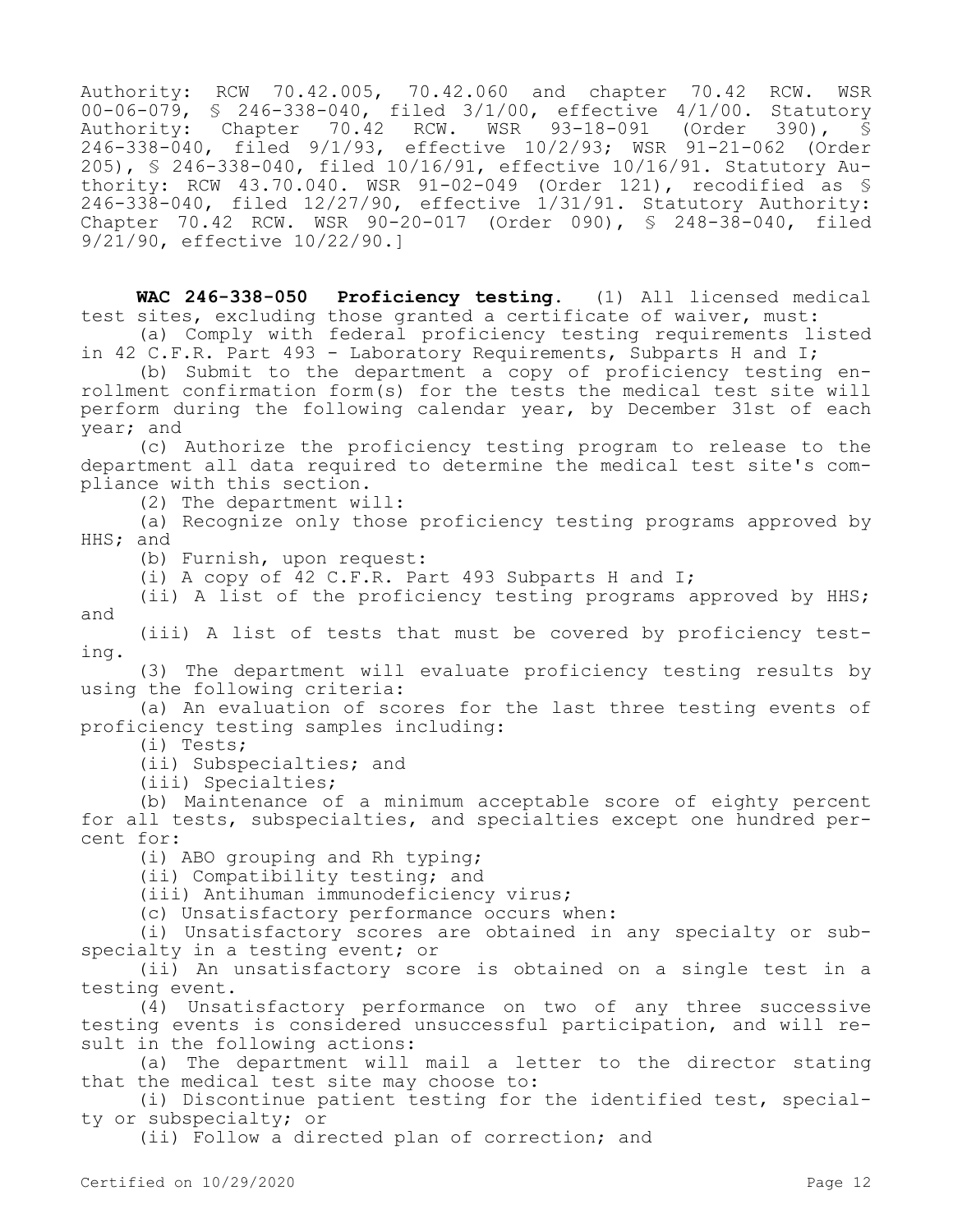Authority: RCW 70.42.005, 70.42.060 and chapter 70.42 RCW. WSR 00-06-079, § 246-338-040, filed  $3/1/00$ , effective  $4/1/00$ . Statutory<br>Authority: Chapter 70.42 RCW. WSR 93-18-091 (Order 390), § Chapter 70.42 RCW. WSR 93-18-091 (Order 390), § 246-338-040, filed 9/1/93, effective 10/2/93; WSR 91-21-062 (Order 205), § 246-338-040, filed 10/16/91, effective 10/16/91. Statutory Authority: RCW 43.70.040. WSR 91-02-049 (Order 121), recodified as § 246-338-040, filed 12/27/90, effective 1/31/91. Statutory Authority: Chapter 70.42 RCW. WSR 90-20-017 (Order 090), § 248-38-040, filed 9/21/90, effective 10/22/90.]

**WAC 246-338-050 Proficiency testing.** (1) All licensed medical test sites, excluding those granted a certificate of waiver, must: (a) Comply with federal proficiency testing requirements listed

in 42 C.F.R. Part 493 - Laboratory Requirements, Subparts H and I;

(b) Submit to the department a copy of proficiency testing enrollment confirmation form(s) for the tests the medical test site will perform during the following calendar year, by December 31st of each year; and

(c) Authorize the proficiency testing program to release to the department all data required to determine the medical test site's compliance with this section.

(2) The department will:

(a) Recognize only those proficiency testing programs approved by HHS; and

(b) Furnish, upon request:

(i) A copy of 42 C.F.R. Part 493 Subparts H and I;

(ii) A list of the proficiency testing programs approved by HHS; and

(iii) A list of tests that must be covered by proficiency testing.

(3) The department will evaluate proficiency testing results by using the following criteria:

(a) An evaluation of scores for the last three testing events of proficiency testing samples including:

(i) Tests;

(ii) Subspecialties; and

(iii) Specialties;

(b) Maintenance of a minimum acceptable score of eighty percent for all tests, subspecialties, and specialties except one hundred percent for:

(i) ABO grouping and Rh typing;

(ii) Compatibility testing; and

(iii) Antihuman immunodeficiency virus;

(c) Unsatisfactory performance occurs when:

(i) Unsatisfactory scores are obtained in any specialty or subspecialty in a testing event; or

(ii) An unsatisfactory score is obtained on a single test in a testing event.

(4) Unsatisfactory performance on two of any three successive testing events is considered unsuccessful participation, and will result in the following actions:

(a) The department will mail a letter to the director stating that the medical test site may choose to:

(i) Discontinue patient testing for the identified test, specialty or subspecialty; or

(ii) Follow a directed plan of correction; and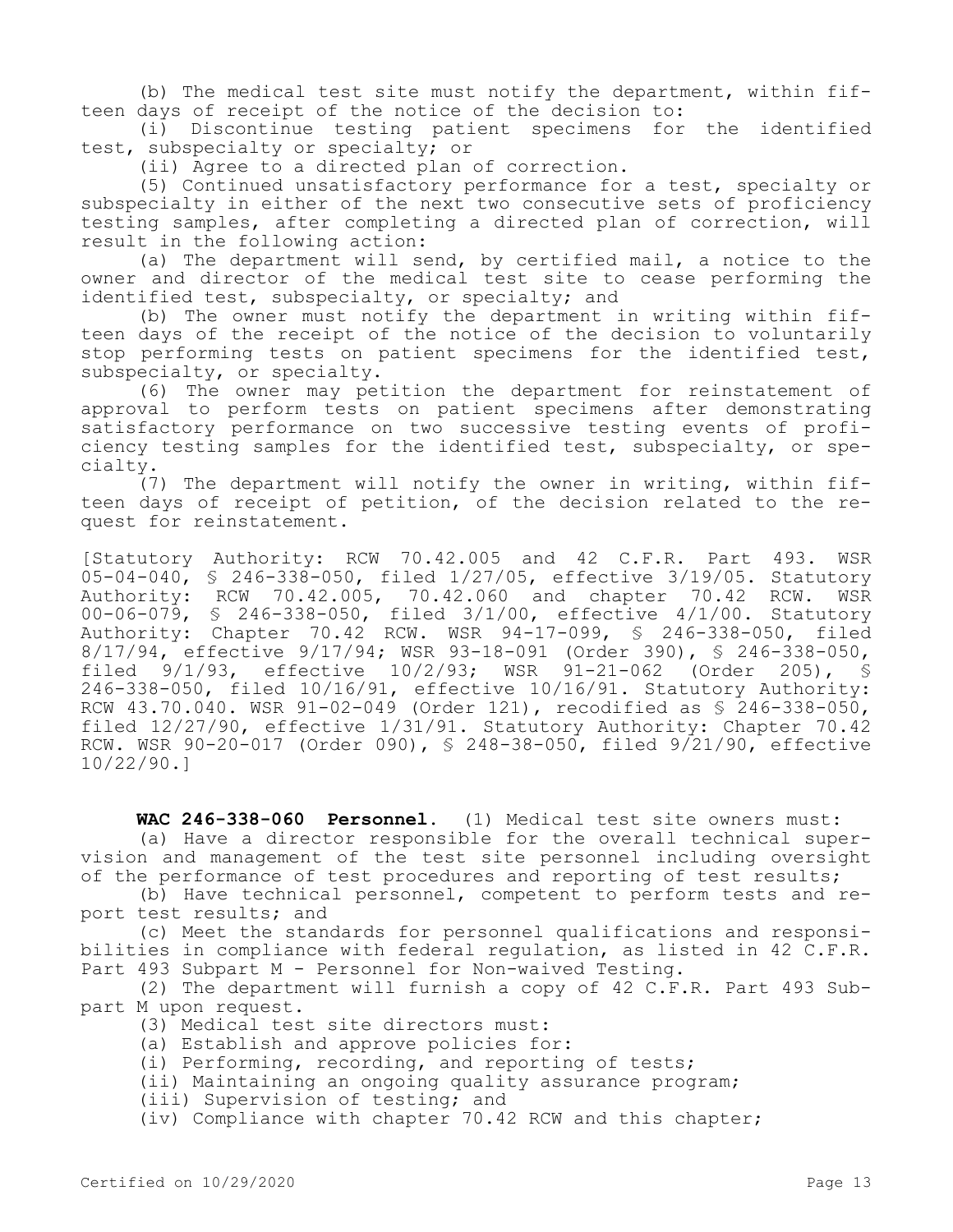(b) The medical test site must notify the department, within fifteen days of receipt of the notice of the decision to:

(i) Discontinue testing patient specimens for the identified test, subspecialty or specialty; or

(ii) Agree to a directed plan of correction.

(5) Continued unsatisfactory performance for a test, specialty or subspecialty in either of the next two consecutive sets of proficiency testing samples, after completing a directed plan of correction, will result in the following action:

(a) The department will send, by certified mail, a notice to the owner and director of the medical test site to cease performing the identified test, subspecialty, or specialty; and

(b) The owner must notify the department in writing within fifteen days of the receipt of the notice of the decision to voluntarily stop performing tests on patient specimens for the identified test, subspecialty, or specialty.

(6) The owner may petition the department for reinstatement of approval to perform tests on patient specimens after demonstrating satisfactory performance on two successive testing events of proficiency testing samples for the identified test, subspecialty, or specialty.

(7) The department will notify the owner in writing, within fifteen days of receipt of petition, of the decision related to the request for reinstatement.

[Statutory Authority: RCW 70.42.005 and 42 C.F.R. Part 493. WSR 05-04-040, § 246-338-050, filed 1/27/05, effective 3/19/05. Statutory Authority: RCW 70.42.005, 70.42.060 and chapter 70.42 RCW. WSR 00-06-079, § 246-338-050, filed 3/1/00, effective 4/1/00. Statutory Authority: Chapter 70.42 RCW. WSR 94-17-099, § 246-338-050, filed 8/17/94, effective 9/17/94; WSR 93-18-091 (Order 390), § 246-338-050, filed 9/1/93, effective 10/2/93; WSR 91-21-062 (Order 205), § 246-338-050, filed 10/16/91, effective 10/16/91. Statutory Authority: RCW 43.70.040. WSR 91-02-049 (Order 121), recodified as § 246-338-050, filed 12/27/90, effective 1/31/91. Statutory Authority: Chapter 70.42 RCW. WSR 90-20-017 (Order 090), § 248-38-050, filed 9/21/90, effective 10/22/90.]

**WAC 246-338-060 Personnel.** (1) Medical test site owners must: (a) Have a director responsible for the overall technical supervision and management of the test site personnel including oversight of the performance of test procedures and reporting of test results;

(b) Have technical personnel, competent to perform tests and report test results; and

(c) Meet the standards for personnel qualifications and responsibilities in compliance with federal regulation, as listed in 42 C.F.R. Part 493 Subpart M - Personnel for Non-waived Testing.

(2) The department will furnish a copy of 42 C.F.R. Part 493 Subpart M upon request.

(3) Medical test site directors must:

(a) Establish and approve policies for:

(i) Performing, recording, and reporting of tests;

(ii) Maintaining an ongoing quality assurance program;

(iii) Supervision of testing; and

(iv) Compliance with chapter 70.42 RCW and this chapter;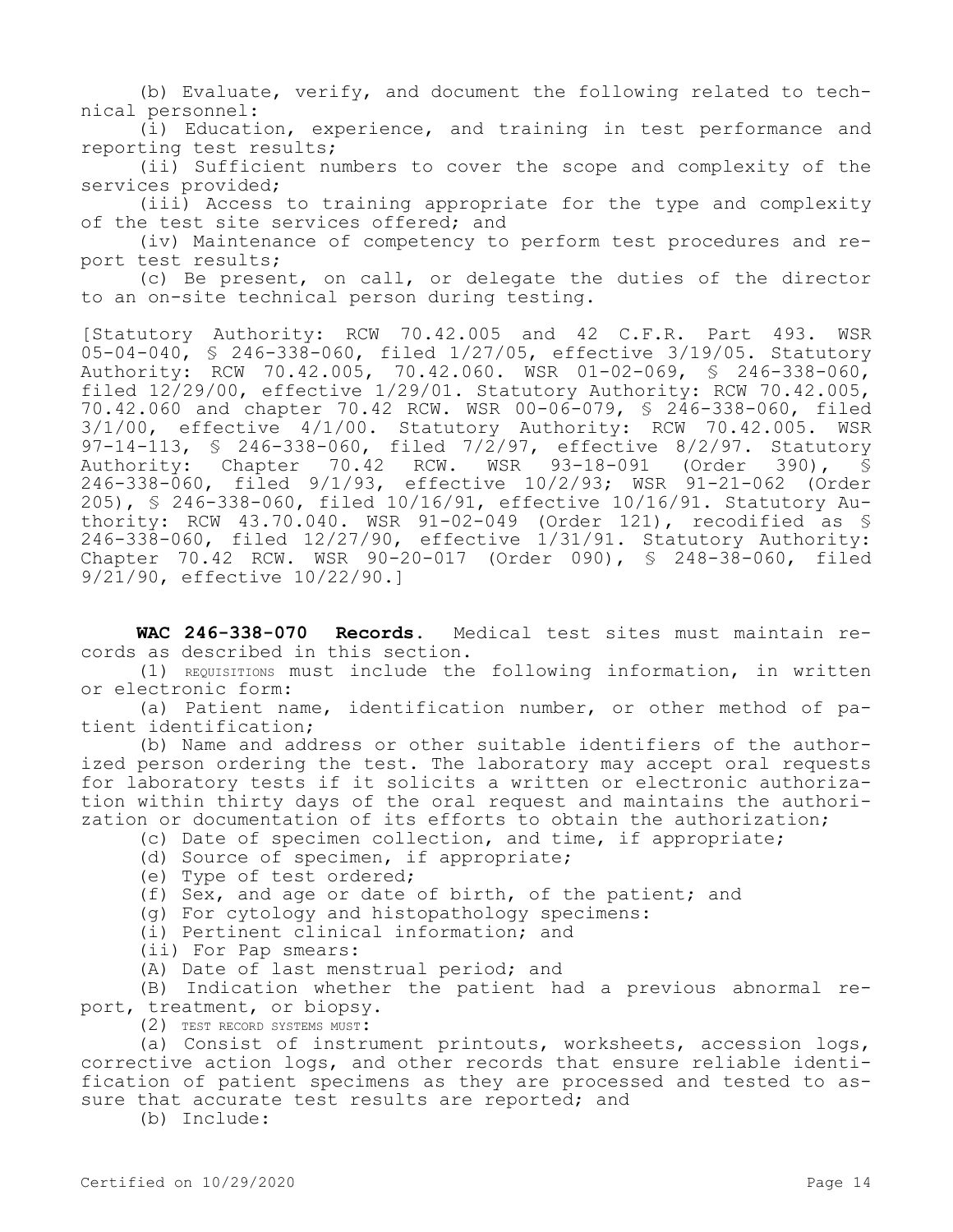(b) Evaluate, verify, and document the following related to technical personnel:

(i) Education, experience, and training in test performance and reporting test results;

(ii) Sufficient numbers to cover the scope and complexity of the services provided;

(iii) Access to training appropriate for the type and complexity of the test site services offered; and

(iv) Maintenance of competency to perform test procedures and report test results;

(c) Be present, on call, or delegate the duties of the director to an on-site technical person during testing.

[Statutory Authority: RCW 70.42.005 and 42 C.F.R. Part 493. WSR  $05-04-040$ , § 246-338-060, filed  $1/27/05$ , effective 3/19/05. Statutory Authority: RCW 70.42.005, 70.42.060. WSR 01-02-069, § 246-338-060, filed 12/29/00, effective 1/29/01. Statutory Authority: RCW 70.42.005, 70.42.060 and chapter 70.42 RCW. WSR 00-06-079, § 246-338-060, filed 3/1/00, effective 4/1/00. Statutory Authority: RCW 70.42.005. WSR 97-14-113, § 246-338-060, filed  $7/2/97$ , effective 8/2/97. Statutory Authority: Chapter 70.42 RCW. WSR 93-18-091 (Order 390), § 246-338-060, filed 9/1/93, effective 10/2/93; WSR 91-21-062 (Order 205), § 246-338-060, filed 10/16/91, effective 10/16/91. Statutory Authority: RCW 43.70.040. WSR 91-02-049 (Order 121), recodified as § 246-338-060, filed 12/27/90, effective 1/31/91. Statutory Authority: Chapter 70.42 RCW. WSR 90-20-017 (Order 090), § 248-38-060, filed 9/21/90, effective 10/22/90.]

**WAC 246-338-070 Records.** Medical test sites must maintain records as described in this section.

(1) REQUISITIONS must include the following information, in written or electronic form:

(a) Patient name, identification number, or other method of patient identification;

(b) Name and address or other suitable identifiers of the authorized person ordering the test. The laboratory may accept oral requests for laboratory tests if it solicits a written or electronic authorization within thirty days of the oral request and maintains the authorization or documentation of its efforts to obtain the authorization;

(c) Date of specimen collection, and time, if appropriate;

- (d) Source of specimen, if appropriate;
- (e) Type of test ordered;
- (f) Sex, and age or date of birth, of the patient; and

(g) For cytology and histopathology specimens:

(i) Pertinent clinical information; and

(ii) For Pap smears:

(A) Date of last menstrual period; and

(B) Indication whether the patient had a previous abnormal report, treatment, or biopsy.

(2) TEST RECORD SYSTEMS MUST:

(a) Consist of instrument printouts, worksheets, accession logs, corrective action logs, and other records that ensure reliable identification of patient specimens as they are processed and tested to assure that accurate test results are reported; and

(b) Include: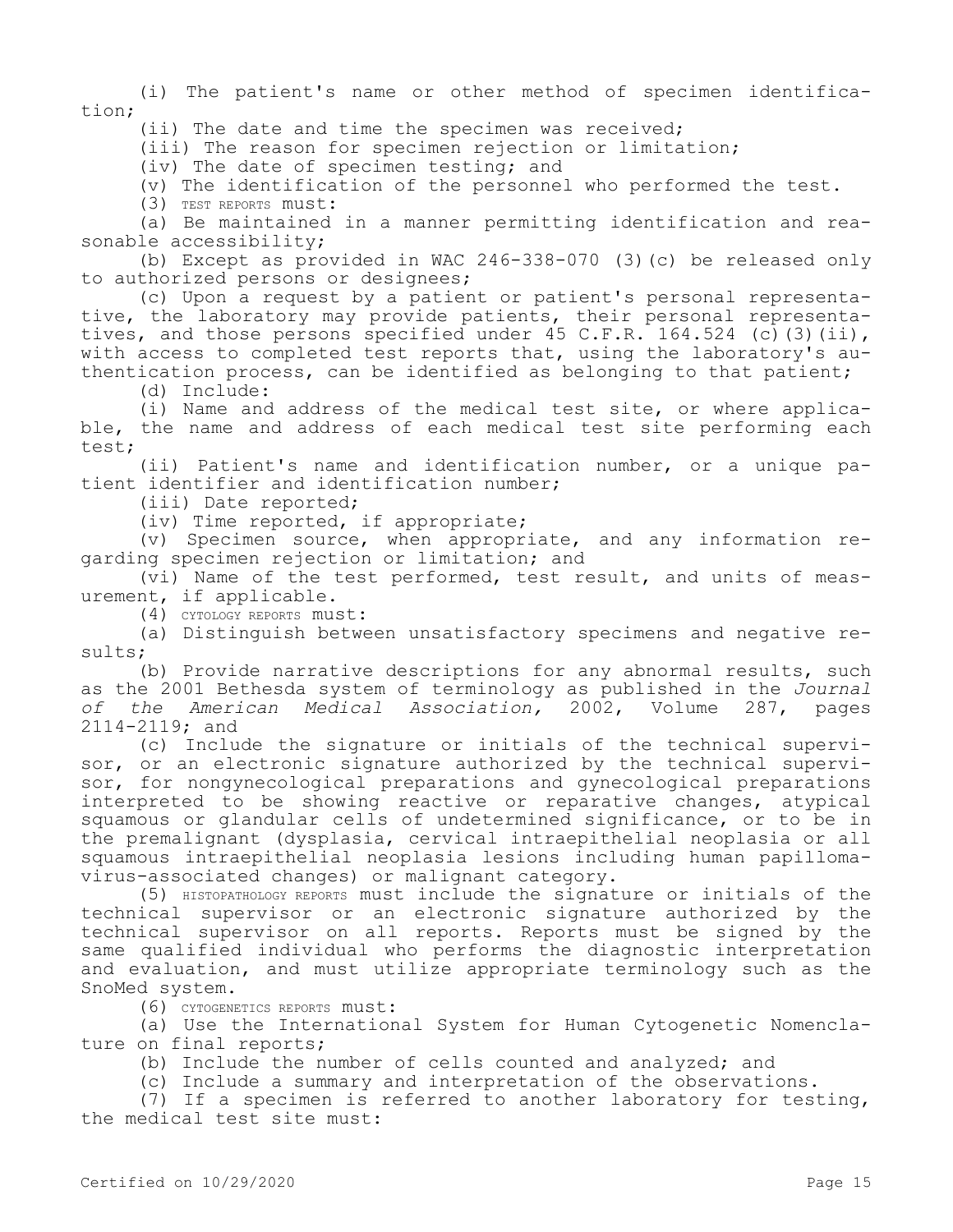(i) The patient's name or other method of specimen identification;

(ii) The date and time the specimen was received;

(iii) The reason for specimen rejection or limitation;

(iv) The date of specimen testing; and

(v) The identification of the personnel who performed the test.

(3) TEST REPORTS must:

(a) Be maintained in a manner permitting identification and reasonable accessibility;

(b) Except as provided in WAC 246-338-070 (3)(c) be released only to authorized persons or designees;

(c) Upon a request by a patient or patient's personal representative, the laboratory may provide patients, their personal representatives, and those persons specified under  $45$  C.F.R. 164.524 (c)(3)(ii), with access to completed test reports that, using the laboratory's authentication process, can be identified as belonging to that patient;

(d) Include:

(i) Name and address of the medical test site, or where applicable, the name and address of each medical test site performing each test;

(ii) Patient's name and identification number, or a unique patient identifier and identification number;

(iii) Date reported;

(iv) Time reported, if appropriate;

(v) Specimen source, when appropriate, and any information regarding specimen rejection or limitation; and

(vi) Name of the test performed, test result, and units of measurement, if applicable.

(4) CYTOLOGY REPORTS must:

(a) Distinguish between unsatisfactory specimens and negative results;

(b) Provide narrative descriptions for any abnormal results, such as the 2001 Bethesda system of terminology as published in the *Journal of the American Medical Association,* 2002, Volume 287, pages 2114-2119; and

(c) Include the signature or initials of the technical supervisor, or an electronic signature authorized by the technical supervisor, for nongynecological preparations and gynecological preparations interpreted to be showing reactive or reparative changes, atypical squamous or glandular cells of undetermined significance, or to be in the premalignant (dysplasia, cervical intraepithelial neoplasia or all squamous intraepithelial neoplasia lesions including human papillomavirus-associated changes) or malignant category.

(5) HISTOPATHOLOGY REPORTS must include the signature or initials of the technical supervisor or an electronic signature authorized by the technical supervisor on all reports. Reports must be signed by the same qualified individual who performs the diagnostic interpretation and evaluation, and must utilize appropriate terminology such as the SnoMed system.

(6) CYTOGENETICS REPORTS must:

(a) Use the International System for Human Cytogenetic Nomenclature on final reports;

(b) Include the number of cells counted and analyzed; and

(c) Include a summary and interpretation of the observations.

(7) If a specimen is referred to another laboratory for testing, the medical test site must: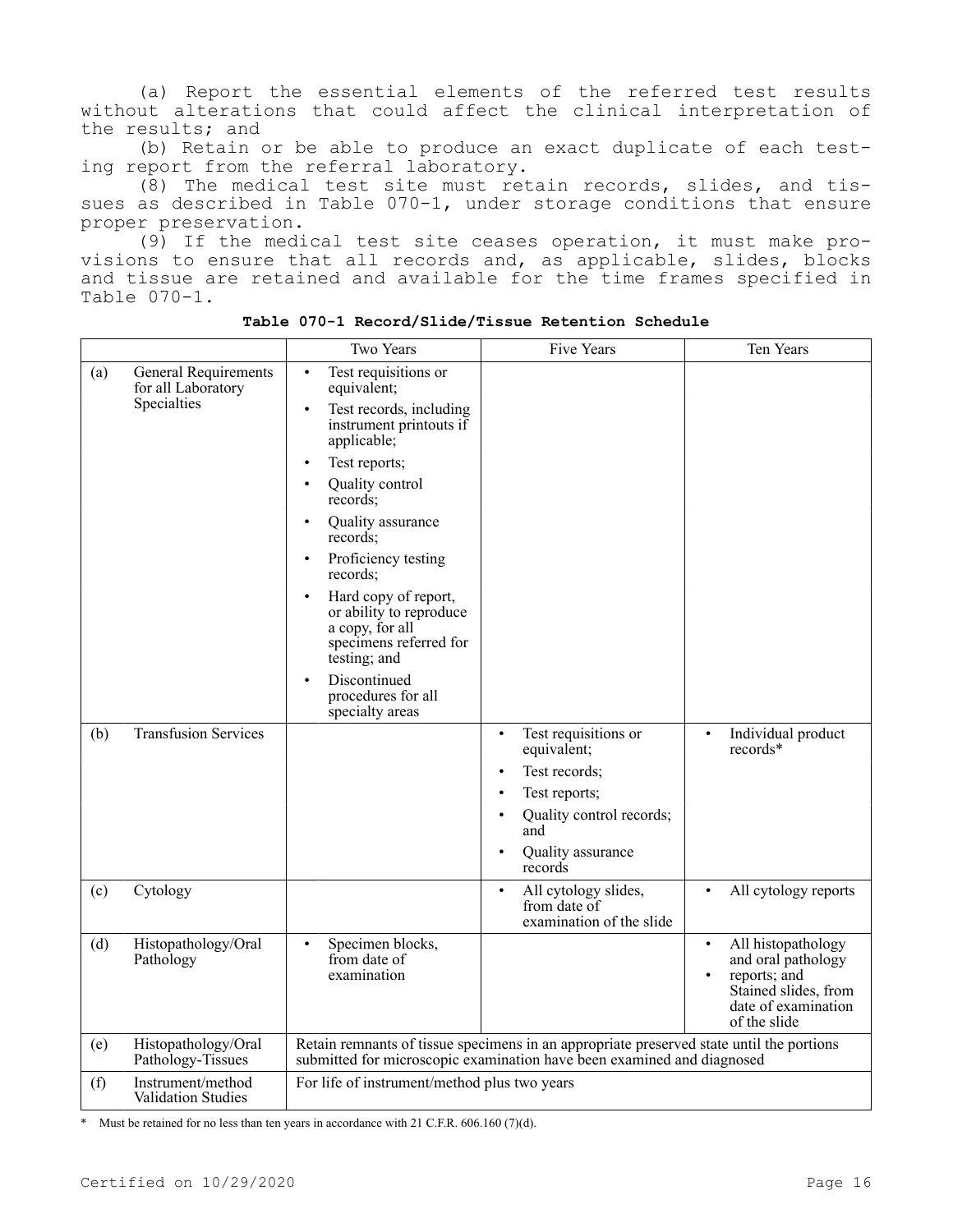(a) Report the essential elements of the referred test results without alterations that could affect the clinical interpretation of the results; and

(b) Retain or be able to produce an exact duplicate of each testing report from the referral laboratory.

(8) The medical test site must retain records, slides, and tissues as described in Table 070-1, under storage conditions that ensure proper preservation.

(9) If the medical test site ceases operation, it must make provisions to ensure that all records and, as applicable, slides, blocks and tissue are retained and available for the time frames specified in Table 070-1.

|     |                                                                  | Two Years                                                                                                                                                                                                                                                                                                                                                                                                                                                                                                     | Five Years                                                                                                                                                         | Ten Years                                                                                                                            |  |
|-----|------------------------------------------------------------------|---------------------------------------------------------------------------------------------------------------------------------------------------------------------------------------------------------------------------------------------------------------------------------------------------------------------------------------------------------------------------------------------------------------------------------------------------------------------------------------------------------------|--------------------------------------------------------------------------------------------------------------------------------------------------------------------|--------------------------------------------------------------------------------------------------------------------------------------|--|
| (a) | <b>General Requirements</b><br>for all Laboratory<br>Specialties | Test requisitions or<br>$\bullet$<br>equivalent;<br>Test records, including<br>$\bullet$<br>instrument printouts if<br>applicable;<br>Test reports;<br>$\bullet$<br>Quality control<br>$\bullet$<br>records;<br>Quality assurance<br>$\bullet$<br>records;<br>Proficiency testing<br>$\bullet$<br>records;<br>Hard copy of report,<br>$\bullet$<br>or ability to reproduce<br>a copy, for all<br>specimens referred for<br>testing; and<br>Discontinued<br>$\bullet$<br>procedures for all<br>specialty areas |                                                                                                                                                                    |                                                                                                                                      |  |
| (b) | <b>Transfusion Services</b>                                      |                                                                                                                                                                                                                                                                                                                                                                                                                                                                                                               | Test requisitions or<br>$\bullet$<br>equivalent;<br>Test records:<br>$\bullet$<br>Test reports;<br>Quality control records;<br>and<br>Quality assurance<br>records | Individual product<br>$\bullet$<br>records*                                                                                          |  |
| (c) | Cytology                                                         |                                                                                                                                                                                                                                                                                                                                                                                                                                                                                                               | All cytology slides,<br>from date of<br>examination of the slide                                                                                                   | All cytology reports<br>$\bullet$                                                                                                    |  |
| (d) | Histopathology/Oral<br>Pathology                                 | Specimen blocks,<br>$\bullet$<br>from date of<br>examination                                                                                                                                                                                                                                                                                                                                                                                                                                                  |                                                                                                                                                                    | All histopathology<br>$\bullet$<br>and oral pathology<br>reports; and<br>Stained slides, from<br>date of examination<br>of the slide |  |
| (e) | Histopathology/Oral<br>Pathology-Tissues                         | Retain remnants of tissue specimens in an appropriate preserved state until the portions<br>submitted for microscopic examination have been examined and diagnosed                                                                                                                                                                                                                                                                                                                                            |                                                                                                                                                                    |                                                                                                                                      |  |
| (f) | Instrument/method<br>Validation Studies                          | For life of instrument/method plus two years                                                                                                                                                                                                                                                                                                                                                                                                                                                                  |                                                                                                                                                                    |                                                                                                                                      |  |

**Table 070-1 Record/Slide/Tissue Retention Schedule**

\* Must be retained for no less than ten years in accordance with 21 C.F.R. 606.160 (7)(d).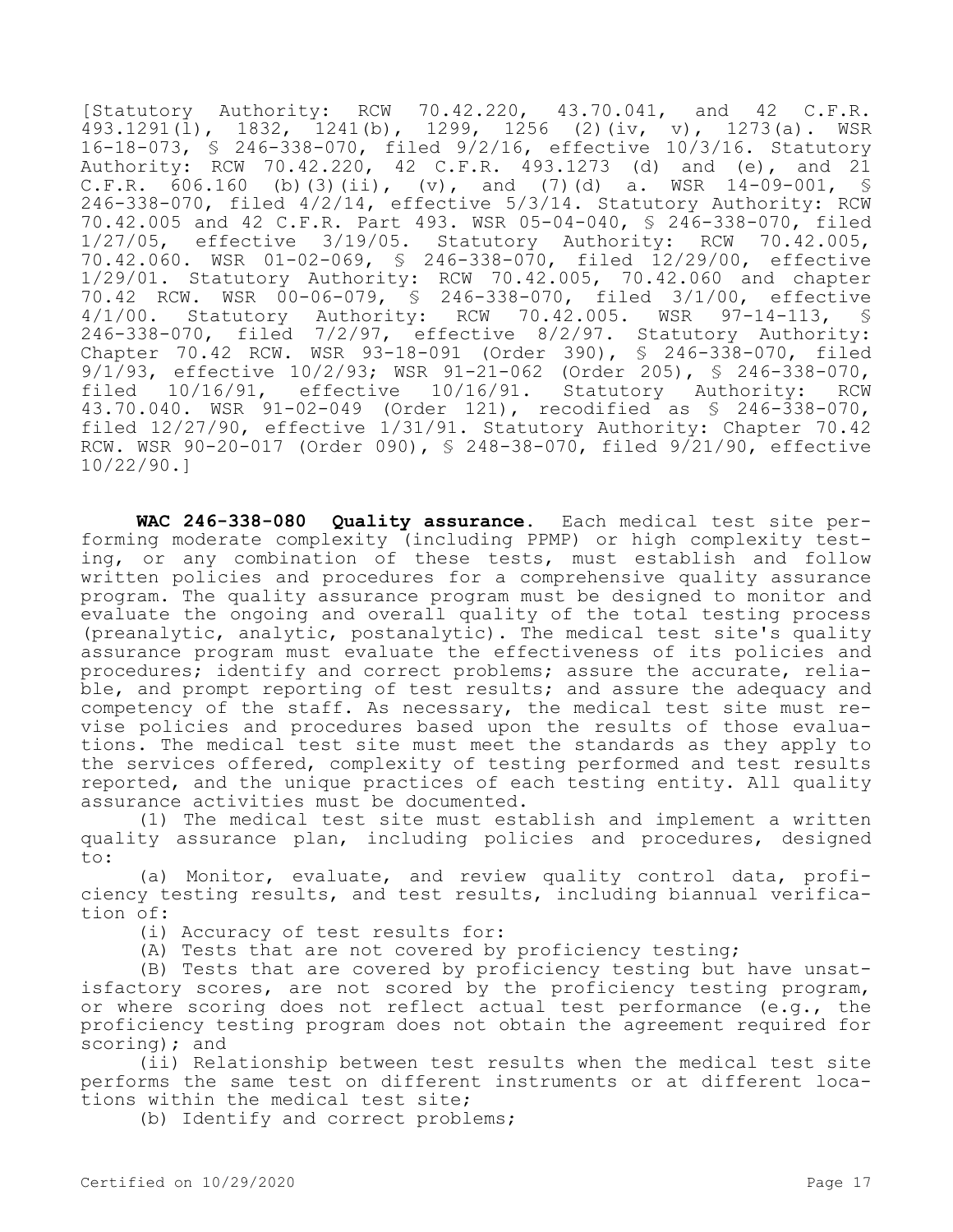[Statutory Authority: RCW 70.42.220, 43.70.041, and 42 C.F.R. 493.1291(l), 1832, 1241(b), 1299, 1256 (2)(iv, v), 1273(a). WSR 16-18-073, § 246-338-070, filed 9/2/16, effective 10/3/16. Statutory Authority: RCW 70.42.220, 42 C.F.R. 493.1273 (d) and (e), and 21 C.F.R. 606.160 (b)(3)(ii), (v), and (7)(d) a. WSR 14-09-001, § 246-338-070, filed 4/2/14, effective 5/3/14. Statutory Authority: RCW 70.42.005 and 42 C.F.R. Part 493. WSR 05-04-040, § 246-338-070, filed 1/27/05, effective 3/19/05. Statutory Authority: RCW 70.42.005, 70.42.060. WSR 01-02-069, § 246-338-070, filed 12/29/00, effective 1/29/01. Statutory Authority: RCW 70.42.005, 70.42.060 and chapter 70.42 RCW. WSR 00-06-079, § 246-338-070, filed 3/1/00, effective<br>4/1/00. Statutory Authority: RCW 70.42.005. WSR 97-14-113, § Authority: RCW 70.42.005. WSR 246-338-070, filed 7/2/97, effective 8/2/97. Statutory Authority: Chapter 70.42 RCW. WSR 93-18-091 (Order 390), § 246-338-070, filed 9/1/93, effective 10/2/93; WSR 91-21-062 (Order 205), § 246-338-070, filed 10/16/91, effective 10/16/91. Statutory Authority: RCW 43.70.040. WSR 91-02-049 (Order 121), recodified as § 246-338-070, filed 12/27/90, effective 1/31/91. Statutory Authority: Chapter 70.42 RCW. WSR 90-20-017 (Order 090), § 248-38-070, filed 9/21/90, effective 10/22/90.]

**WAC 246-338-080 Quality assurance.** Each medical test site performing moderate complexity (including PPMP) or high complexity testing, or any combination of these tests, must establish and follow written policies and procedures for a comprehensive quality assurance program. The quality assurance program must be designed to monitor and evaluate the ongoing and overall quality of the total testing process (preanalytic, analytic, postanalytic). The medical test site's quality assurance program must evaluate the effectiveness of its policies and procedures; identify and correct problems; assure the accurate, reliable, and prompt reporting of test results; and assure the adequacy and competency of the staff. As necessary, the medical test site must revise policies and procedures based upon the results of those evaluations. The medical test site must meet the standards as they apply to the services offered, complexity of testing performed and test results reported, and the unique practices of each testing entity. All quality assurance activities must be documented.

(1) The medical test site must establish and implement a written quality assurance plan, including policies and procedures, designed to:

(a) Monitor, evaluate, and review quality control data, proficiency testing results, and test results, including biannual verification of:

(i) Accuracy of test results for:

(A) Tests that are not covered by proficiency testing;

(B) Tests that are covered by proficiency testing but have unsatisfactory scores, are not scored by the proficiency testing program, or where scoring does not reflect actual test performance (e.g., the proficiency testing program does not obtain the agreement required for scoring); and

(ii) Relationship between test results when the medical test site performs the same test on different instruments or at different locations within the medical test site;

(b) Identify and correct problems;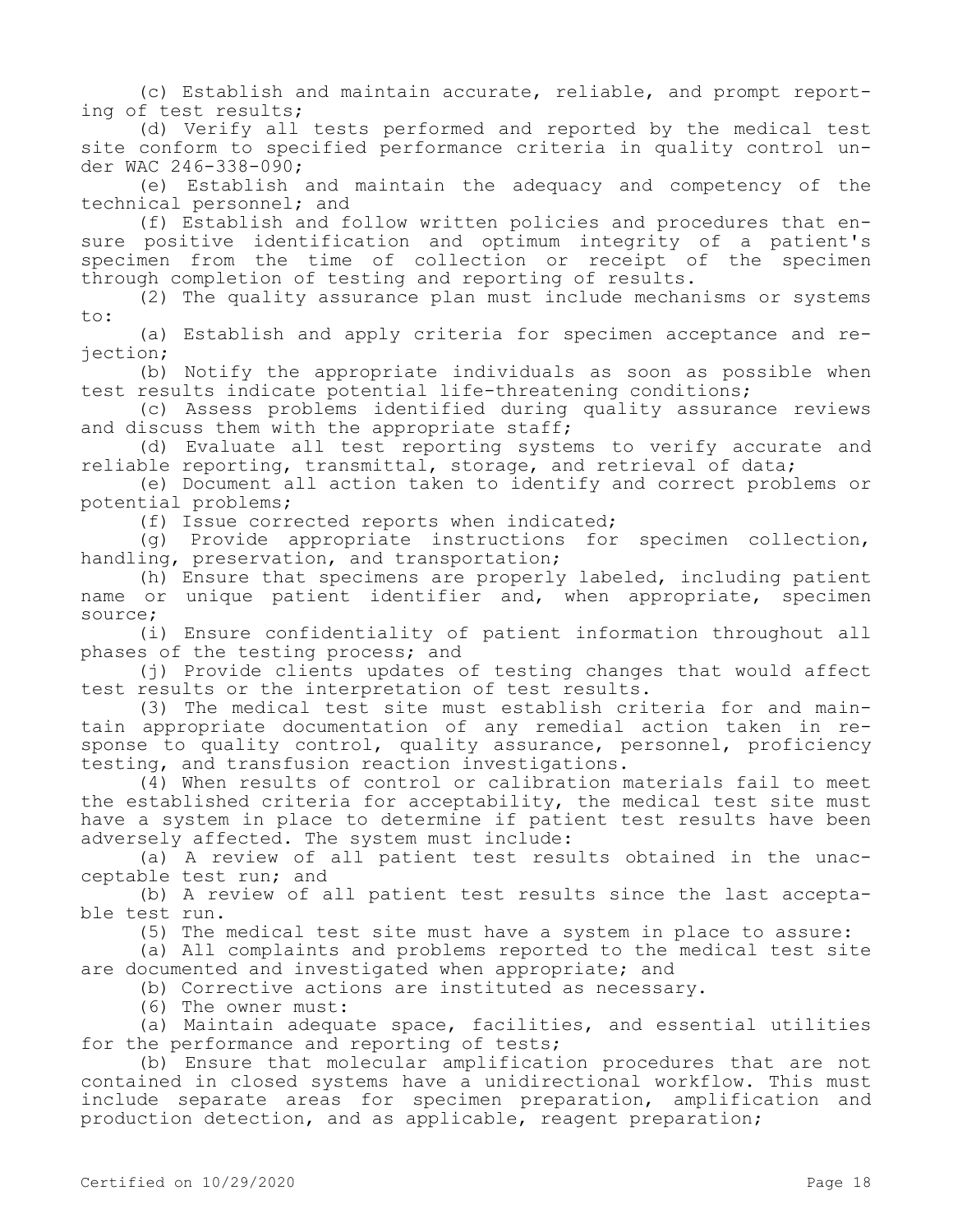(c) Establish and maintain accurate, reliable, and prompt reporting of test results;

(d) Verify all tests performed and reported by the medical test site conform to specified performance criteria in quality control under WAC 246-338-090;

(e) Establish and maintain the adequacy and competency of the technical personnel; and

(f) Establish and follow written policies and procedures that ensure positive identification and optimum integrity of a patient's specimen from the time of collection or receipt of the specimen through completion of testing and reporting of results.

(2) The quality assurance plan must include mechanisms or systems to:

(a) Establish and apply criteria for specimen acceptance and rejection;

(b) Notify the appropriate individuals as soon as possible when test results indicate potential life-threatening conditions;

(c) Assess problems identified during quality assurance reviews and discuss them with the appropriate staff;

(d) Evaluate all test reporting systems to verify accurate and reliable reporting, transmittal, storage, and retrieval of data;

(e) Document all action taken to identify and correct problems or potential problems;

(f) Issue corrected reports when indicated;

(g) Provide appropriate instructions for specimen collection, handling, preservation, and transportation;

(h) Ensure that specimens are properly labeled, including patient name or unique patient identifier and, when appropriate, specimen source;

(i) Ensure confidentiality of patient information throughout all phases of the testing process; and

(j) Provide clients updates of testing changes that would affect test results or the interpretation of test results.

(3) The medical test site must establish criteria for and maintain appropriate documentation of any remedial action taken in response to quality control, quality assurance, personnel, proficiency testing, and transfusion reaction investigations.

(4) When results of control or calibration materials fail to meet the established criteria for acceptability, the medical test site must have a system in place to determine if patient test results have been adversely affected. The system must include:

(a) A review of all patient test results obtained in the unacceptable test run; and

(b) A review of all patient test results since the last acceptable test run.

(5) The medical test site must have a system in place to assure:

(a) All complaints and problems reported to the medical test site are documented and investigated when appropriate; and

(b) Corrective actions are instituted as necessary.

(6) The owner must:

(a) Maintain adequate space, facilities, and essential utilities for the performance and reporting of tests;

(b) Ensure that molecular amplification procedures that are not contained in closed systems have a unidirectional workflow. This must include separate areas for specimen preparation, amplification and production detection, and as applicable, reagent preparation;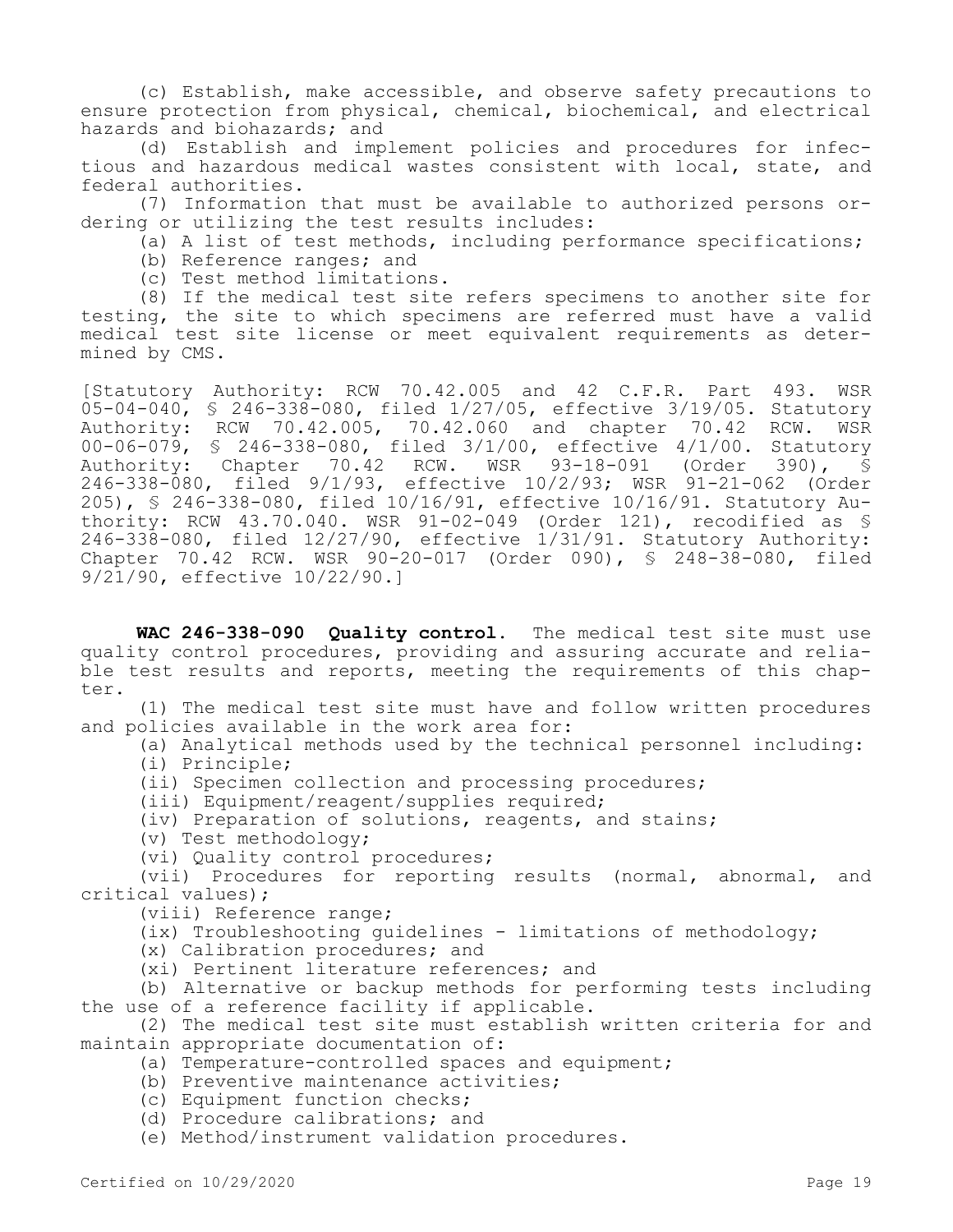(c) Establish, make accessible, and observe safety precautions to ensure protection from physical, chemical, biochemical, and electrical hazards and biohazards; and

(d) Establish and implement policies and procedures for infectious and hazardous medical wastes consistent with local, state, and federal authorities.

(7) Information that must be available to authorized persons ordering or utilizing the test results includes:

 $(a)$  A list of test methods, including performance specifications;

- (b) Reference ranges; and
- (c) Test method limitations.

(8) If the medical test site refers specimens to another site for testing, the site to which specimens are referred must have a valid medical test site license or meet equivalent requirements as determined by CMS.

[Statutory Authority: RCW 70.42.005 and 42 C.F.R. Part 493. WSR  $05-04-040$ , § 246-338-080, filed  $1/27/05$ , effective 3/19/05. Statutory Authority: RCW 70.42.005, 70.42.060 and chapter 70.42 RCW. WSR 00-06-079, \$ 246-338-080, filed 3/1/00, effective 4/1/00. Statutory<br>Authority: Chapter 70.42 RCW. WSR 93-18-091 (Order 390), \$ Authority: Chapter 70.42 RCW. WSR 93-18-091 (Order 390), § 246-338-080, filed 9/1/93, effective 10/2/93; WSR 91-21-062 (Order 205), § 246-338-080, filed 10/16/91, effective 10/16/91. Statutory Authority: RCW 43.70.040. WSR 91-02-049 (Order 121), recodified as § 246-338-080, filed 12/27/90, effective 1/31/91. Statutory Authority: Chapter 70.42 RCW. WSR 90-20-017 (Order 090), § 248-38-080, filed 9/21/90, effective 10/22/90.]

**WAC 246-338-090 Quality control.** The medical test site must use quality control procedures, providing and assuring accurate and reliable test results and reports, meeting the requirements of this chapter.

(1) The medical test site must have and follow written procedures and policies available in the work area for:

(a) Analytical methods used by the technical personnel including:

(i) Principle;

(ii) Specimen collection and processing procedures;

(iii) Equipment/reagent/supplies required;

(iv) Preparation of solutions, reagents, and stains;

(v) Test methodology;

(vi) Quality control procedures;

(vii) Procedures for reporting results (normal, abnormal, and critical values);

(viii) Reference range;

(ix) Troubleshooting quidelines - limitations of methodology;

(x) Calibration procedures; and

(xi) Pertinent literature references; and

(b) Alternative or backup methods for performing tests including the use of a reference facility if applicable.

(2) The medical test site must establish written criteria for and maintain appropriate documentation of:

(a) Temperature-controlled spaces and equipment;

(b) Preventive maintenance activities;

- (c) Equipment function checks;
- (d) Procedure calibrations; and

(e) Method/instrument validation procedures.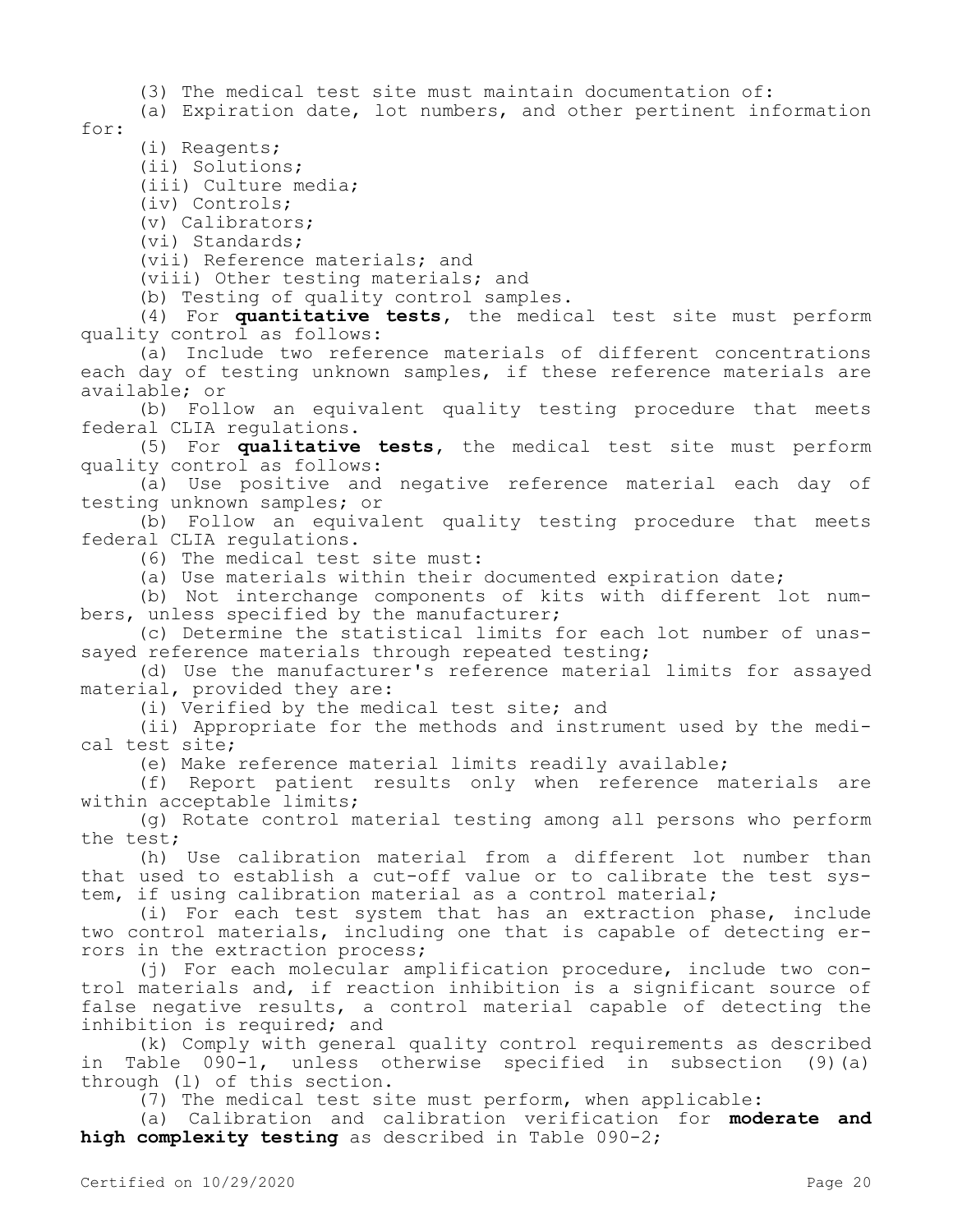(3) The medical test site must maintain documentation of:

(a) Expiration date, lot numbers, and other pertinent information for:

- (i) Reagents;
- (ii) Solutions;
- (iii) Culture media;
- (iv) Controls;
- (v) Calibrators;
- (vi) Standards;

(vii) Reference materials; and

(viii) Other testing materials; and

(b) Testing of quality control samples.

(4) For **quantitative tests,** the medical test site must perform quality control as follows:

(a) Include two reference materials of different concentrations each day of testing unknown samples, if these reference materials are available; or

(b) Follow an equivalent quality testing procedure that meets federal CLIA regulations.

(5) For **qualitative tests,** the medical test site must perform quality control as follows:

(a) Use positive and negative reference material each day of testing unknown samples; or

(b) Follow an equivalent quality testing procedure that meets federal CLIA regulations.

(6) The medical test site must:

(a) Use materials within their documented expiration date;

(b) Not interchange components of kits with different lot numbers, unless specified by the manufacturer;

(c) Determine the statistical limits for each lot number of unassayed reference materials through repeated testing;

(d) Use the manufacturer's reference material limits for assayed material, provided they are:

(i) Verified by the medical test site; and

(ii) Appropriate for the methods and instrument used by the medical test site;

(e) Make reference material limits readily available;

(f) Report patient results only when reference materials are within acceptable limits;

(g) Rotate control material testing among all persons who perform the test;

(h) Use calibration material from a different lot number than that used to establish a cut-off value or to calibrate the test system, if using calibration material as a control material;

(i) For each test system that has an extraction phase, include two control materials, including one that is capable of detecting errors in the extraction process;

(j) For each molecular amplification procedure, include two control materials and, if reaction inhibition is a significant source of false negative results, a control material capable of detecting the inhibition is required; and

(k) Comply with general quality control requirements as described in Table 090-1, unless otherwise specified in subsection (9)(a) through (l) of this section.

(7) The medical test site must perform, when applicable:

(a) Calibration and calibration verification for **moderate and high complexity testing** as described in Table 090-2;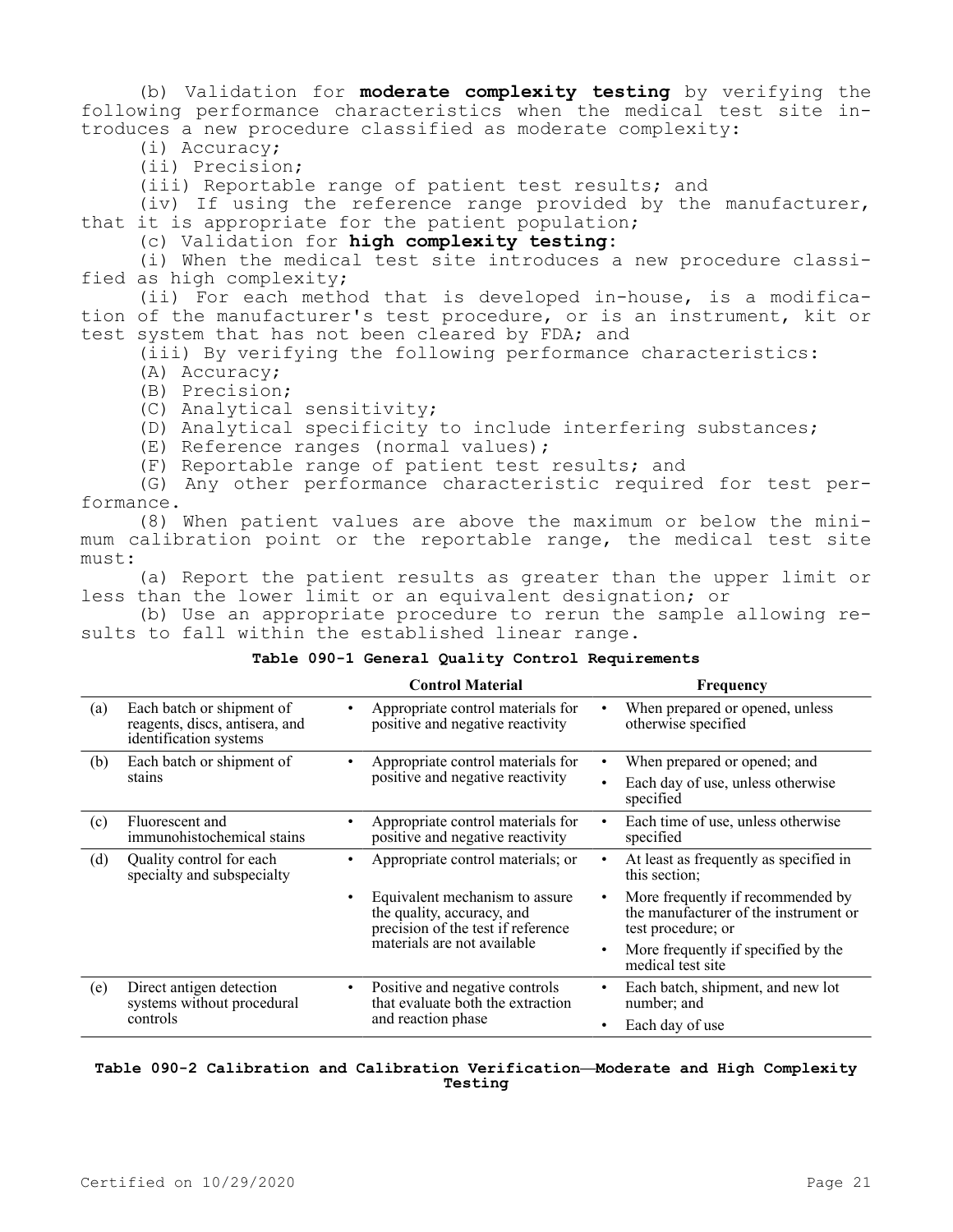(b) Validation for **moderate complexity testing** by verifying the following performance characteristics when the medical test site introduces a new procedure classified as moderate complexity:

(i) Accuracy;

(ii) Precision;

(iii) Reportable range of patient test results; and

(iv) If using the reference range provided by the manufacturer, that it is appropriate for the patient population;

(c) Validation for **high complexity testing:**

(i) When the medical test site introduces a new procedure classified as high complexity;

(ii) For each method that is developed in-house, is a modification of the manufacturer's test procedure, or is an instrument, kit or test system that has not been cleared by FDA; and

(iii) By verifying the following performance characteristics:

- (A) Accuracy;
- (B) Precision;
- (C) Analytical sensitivity;
- (D) Analytical specificity to include interfering substances;
- (E) Reference ranges (normal values);

(F) Reportable range of patient test results; and

(G) Any other performance characteristic required for test performance.

(8) When patient values are above the maximum or below the minimum calibration point or the reportable range, the medical test site must:

(a) Report the patient results as greater than the upper limit or less than the lower limit or an equivalent designation; or

(b) Use an appropriate procedure to rerun the sample allowing results to fall within the established linear range.

|     |                                                                                       | <b>Control Material</b>                                                                            | Frequency                                                                                             |
|-----|---------------------------------------------------------------------------------------|----------------------------------------------------------------------------------------------------|-------------------------------------------------------------------------------------------------------|
| (a) | Each batch or shipment of<br>reagents, discs, antisera, and<br>identification systems | Appropriate control materials for<br>positive and negative reactivity                              | When prepared or opened, unless<br>otherwise specified                                                |
| (b) | Each batch or shipment of                                                             | Appropriate control materials for                                                                  | When prepared or opened; and                                                                          |
|     | stains                                                                                | positive and negative reactivity                                                                   | Each day of use, unless otherwise<br>$\bullet$<br>specified                                           |
| (c) | Fluorescent and<br>immunohistochemical stains                                         | Appropriate control materials for<br>٠<br>positive and negative reactivity                         | Each time of use, unless otherwise<br>٠<br>specified                                                  |
| (d) | Quality control for each<br>specialty and subspecialty                                | Appropriate control materials; or<br>$\bullet$                                                     | At least as frequently as specified in<br>$\bullet$<br>this section:                                  |
|     |                                                                                       | Equivalent mechanism to assure<br>the quality, accuracy, and<br>precision of the test if reference | More frequently if recommended by<br>٠<br>the manufacturer of the instrument or<br>test procedure; or |
|     |                                                                                       | materials are not available                                                                        | More frequently if specified by the<br>$\bullet$<br>medical test site                                 |
| (e) | Direct antigen detection<br>systems without procedural                                | Positive and negative controls<br>that evaluate both the extraction                                | Each batch, shipment, and new lot<br>number; and                                                      |
|     | controls                                                                              | and reaction phase                                                                                 | Each day of use<br>$\bullet$                                                                          |

### **Table 090-1 General Quality Control Requirements**

**Table 090-2 Calibration and Calibration Verification—Moderate and High Complexity Testing**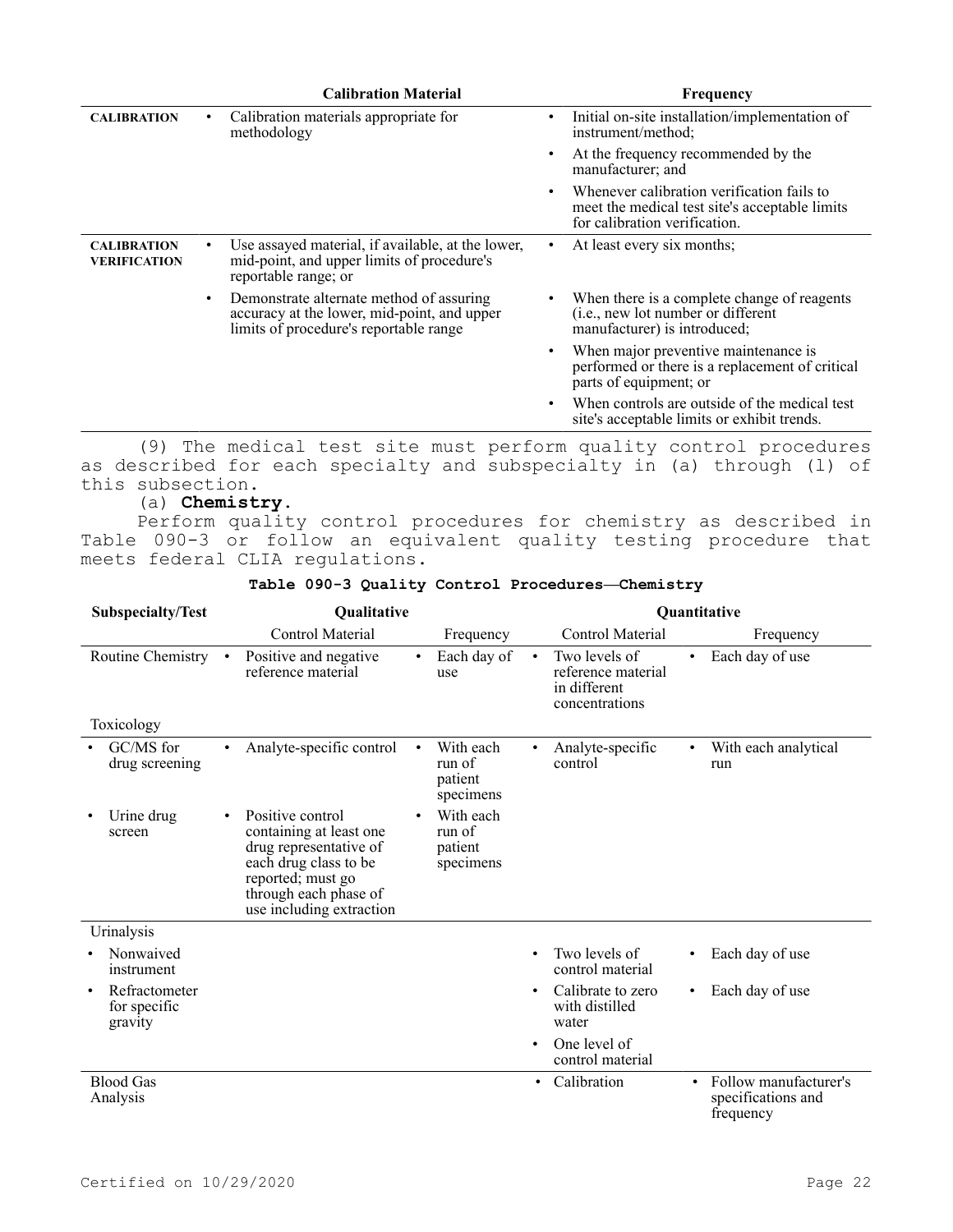|                                           | <b>Calibration Material</b>                                                                                                       |           | Frequency                                                                                                                     |
|-------------------------------------------|-----------------------------------------------------------------------------------------------------------------------------------|-----------|-------------------------------------------------------------------------------------------------------------------------------|
| <b>CALIBRATION</b>                        | Calibration materials appropriate for<br>methodology                                                                              | $\bullet$ | Initial on-site installation/implementation of<br>instrument/method;                                                          |
|                                           |                                                                                                                                   | $\bullet$ | At the frequency recommended by the<br>manufacturer; and                                                                      |
|                                           |                                                                                                                                   | $\bullet$ | Whenever calibration verification fails to<br>meet the medical test site's acceptable limits<br>for calibration verification. |
| <b>CALIBRATION</b><br><b>VERIFICATION</b> | Use assayed material, if available, at the lower,<br>mid-point, and upper limits of procedure's<br>reportable range; or           | ٠         | At least every six months;                                                                                                    |
|                                           | Demonstrate alternate method of assuring<br>accuracy at the lower, mid-point, and upper<br>limits of procedure's reportable range | ٠         | When there is a complete change of reagents<br>( <i>i.e.</i> , new lot number or different<br>manufacturer) is introduced;    |
|                                           |                                                                                                                                   | $\bullet$ | When major preventive maintenance is<br>performed or there is a replacement of critical<br>parts of equipment; or             |
|                                           |                                                                                                                                   | ٠         | When controls are outside of the medical test<br>site's acceptable limits or exhibit trends.                                  |

(9) The medical test site must perform quality control procedures as described for each specialty and subspecialty in (a) through (l) of this subsection.

# (a) **Chemistry.**

Perform quality control procedures for chemistry as described in Table 090-3 or follow an equivalent quality testing procedure that meets federal CLIA regulations.

|  |  | Table 090-3 Quality Control Procedures-Chemistry |  |
|--|--|--------------------------------------------------|--|
|  |  |                                                  |  |

| Subspecialty/Test                                     |  | Qualitative                                                                                                                                                              |  | Quantitative                                |           |                                                                       |           |                                                          |
|-------------------------------------------------------|--|--------------------------------------------------------------------------------------------------------------------------------------------------------------------------|--|---------------------------------------------|-----------|-----------------------------------------------------------------------|-----------|----------------------------------------------------------|
|                                                       |  | Control Material                                                                                                                                                         |  | Frequency                                   |           | Control Material                                                      |           | Frequency                                                |
| Routine Chemistry                                     |  | Positive and negative<br>reference material                                                                                                                              |  | Each day of<br>use                          |           | Two levels of<br>reference material<br>in different<br>concentrations | $\bullet$ | Each day of use                                          |
| Toxicology                                            |  |                                                                                                                                                                          |  |                                             |           |                                                                       |           |                                                          |
| GC/MS for<br>drug screening                           |  | Analyte-specific control                                                                                                                                                 |  | With each<br>run of<br>patient<br>specimens |           | Analyte-specific<br>control                                           |           | With each analytical<br>run                              |
| Urine drug<br>screen                                  |  | Positive control<br>containing at least one<br>drug representative of<br>each drug class to be<br>reported; must go<br>through each phase of<br>use including extraction |  | With each<br>run of<br>patient<br>specimens |           |                                                                       |           |                                                          |
| Urinalysis                                            |  |                                                                                                                                                                          |  |                                             |           |                                                                       |           |                                                          |
| Nonwaived<br>instrument                               |  |                                                                                                                                                                          |  |                                             |           | Two levels of<br>control material                                     | $\bullet$ | Each day of use                                          |
| Refractometer<br>$\bullet$<br>for specific<br>gravity |  |                                                                                                                                                                          |  |                                             |           | Calibrate to zero<br>with distilled<br>water                          |           | Each day of use                                          |
|                                                       |  |                                                                                                                                                                          |  |                                             |           | One level of<br>control material                                      |           |                                                          |
| <b>Blood Gas</b><br>Analysis                          |  |                                                                                                                                                                          |  |                                             | $\bullet$ | Calibration                                                           |           | Follow manufacturer's<br>specifications and<br>frequency |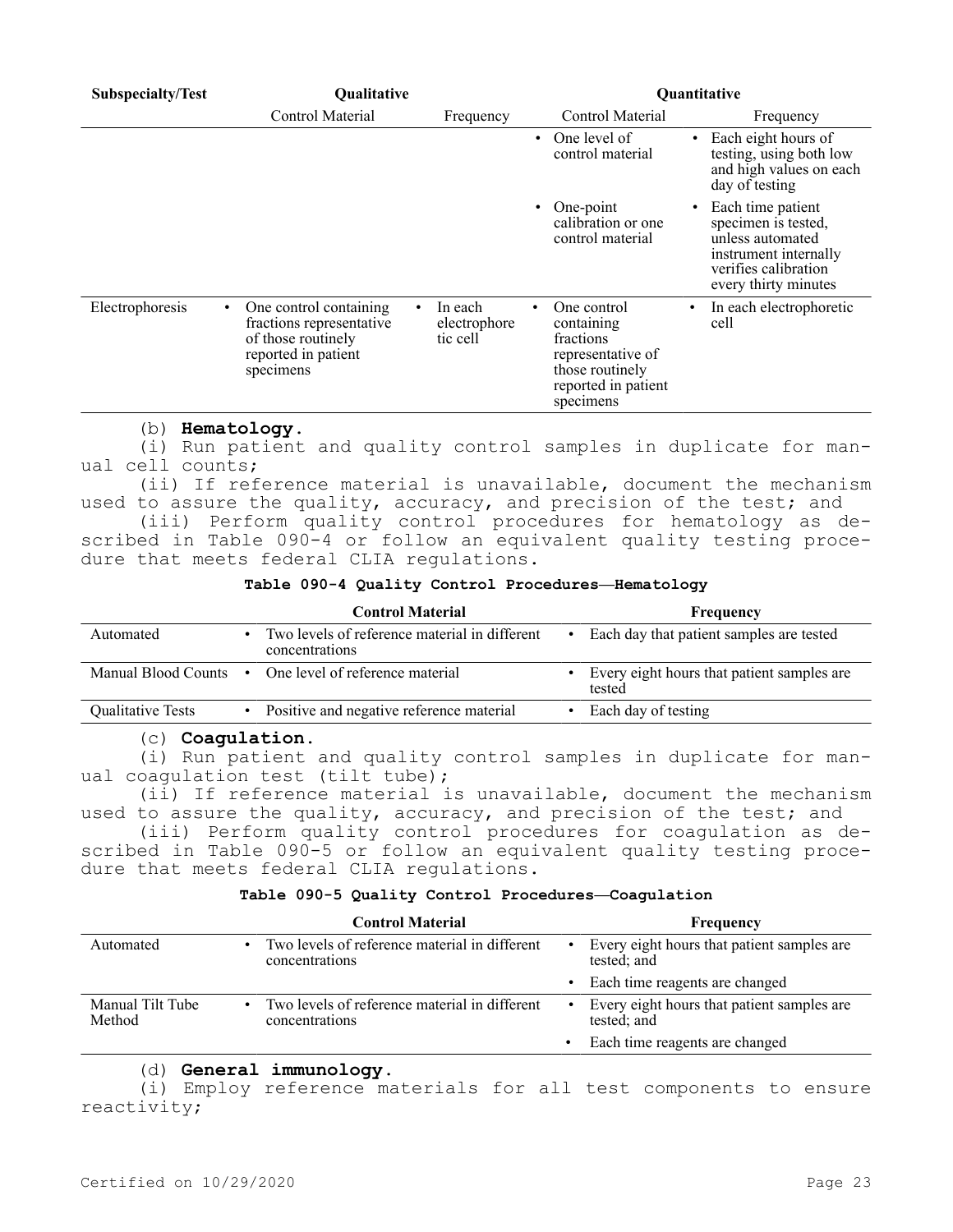| Subspecialty/Test | <b>Qualitative</b>                                                                                           |                                     | Quantitative                                                                                                       |                                                                                                                                            |  |  |
|-------------------|--------------------------------------------------------------------------------------------------------------|-------------------------------------|--------------------------------------------------------------------------------------------------------------------|--------------------------------------------------------------------------------------------------------------------------------------------|--|--|
|                   | Control Material                                                                                             | Frequency                           | Control Material                                                                                                   | Frequency                                                                                                                                  |  |  |
|                   |                                                                                                              |                                     | $\bullet$ One level of<br>control material                                                                         | Each eight hours of<br>$\bullet$<br>testing, using both low<br>and high values on each<br>day of testing                                   |  |  |
|                   |                                                                                                              |                                     | One-point<br>$\bullet$<br>calibration or one<br>control material                                                   | Each time patient<br>٠<br>specimen is tested,<br>unless automated<br>instrument internally<br>verifies calibration<br>every thirty minutes |  |  |
| Electrophoresis   | One control containing<br>fractions representative<br>of those routinely<br>reported in patient<br>specimens | In each<br>electrophore<br>tic cell | One control<br>containing<br>fractions<br>representative of<br>those routinely<br>reported in patient<br>specimens | In each electrophoretic<br>cell                                                                                                            |  |  |

# (b) **Hematology.**

(i) Run patient and quality control samples in duplicate for manual cell counts;

(ii) If reference material is unavailable, document the mechanism used to assure the quality, accuracy, and precision of the test; and

(iii) Perform quality control procedures for hematology as described in Table 090-4 or follow an equivalent quality testing procedure that meets federal CLIA regulations.

|  |  |  |  | Table 090-4 Quality Control Procedures—Hematology |  |
|--|--|--|--|---------------------------------------------------|--|
|--|--|--|--|---------------------------------------------------|--|

|                   | <b>Control Material</b>                                           | Frequency                                            |  |  |  |  |
|-------------------|-------------------------------------------------------------------|------------------------------------------------------|--|--|--|--|
| Automated         | • Two levels of reference material in different<br>concentrations | • Each day that patient samples are tested           |  |  |  |  |
|                   | Manual Blood Counts • One level of reference material             | Every eight hours that patient samples are<br>tested |  |  |  |  |
| Qualitative Tests | Positive and negative reference material<br>$\bullet$             | Each day of testing                                  |  |  |  |  |
|                   |                                                                   |                                                      |  |  |  |  |

### (c) **Coagulation.**

(i) Run patient and quality control samples in duplicate for manual coagulation test (tilt tube);

(ii) If reference material is unavailable, document the mechanism used to assure the quality, accuracy, and precision of the test; and

(iii) Perform quality control procedures for coagulation as described in Table 090-5 or follow an equivalent quality testing procedure that meets federal CLIA regulations.

#### **Table 090-5 Quality Control Procedures—Coagulation**

|                            | <b>Control Material</b>                                                      | <b>Frequency</b>                                          |
|----------------------------|------------------------------------------------------------------------------|-----------------------------------------------------------|
| Automated                  | • Two levels of reference material in different<br>concentrations            | Every eight hours that patient samples are<br>tested; and |
|                            |                                                                              | Each time reagents are changed                            |
| Manual Tilt Tube<br>Method | Two levels of reference material in different<br>$\bullet$<br>concentrations | Every eight hours that patient samples are<br>tested; and |
|                            |                                                                              | Each time reagents are changed                            |

#### (d) **General immunology.**

(i) Employ reference materials for all test components to ensure reactivity;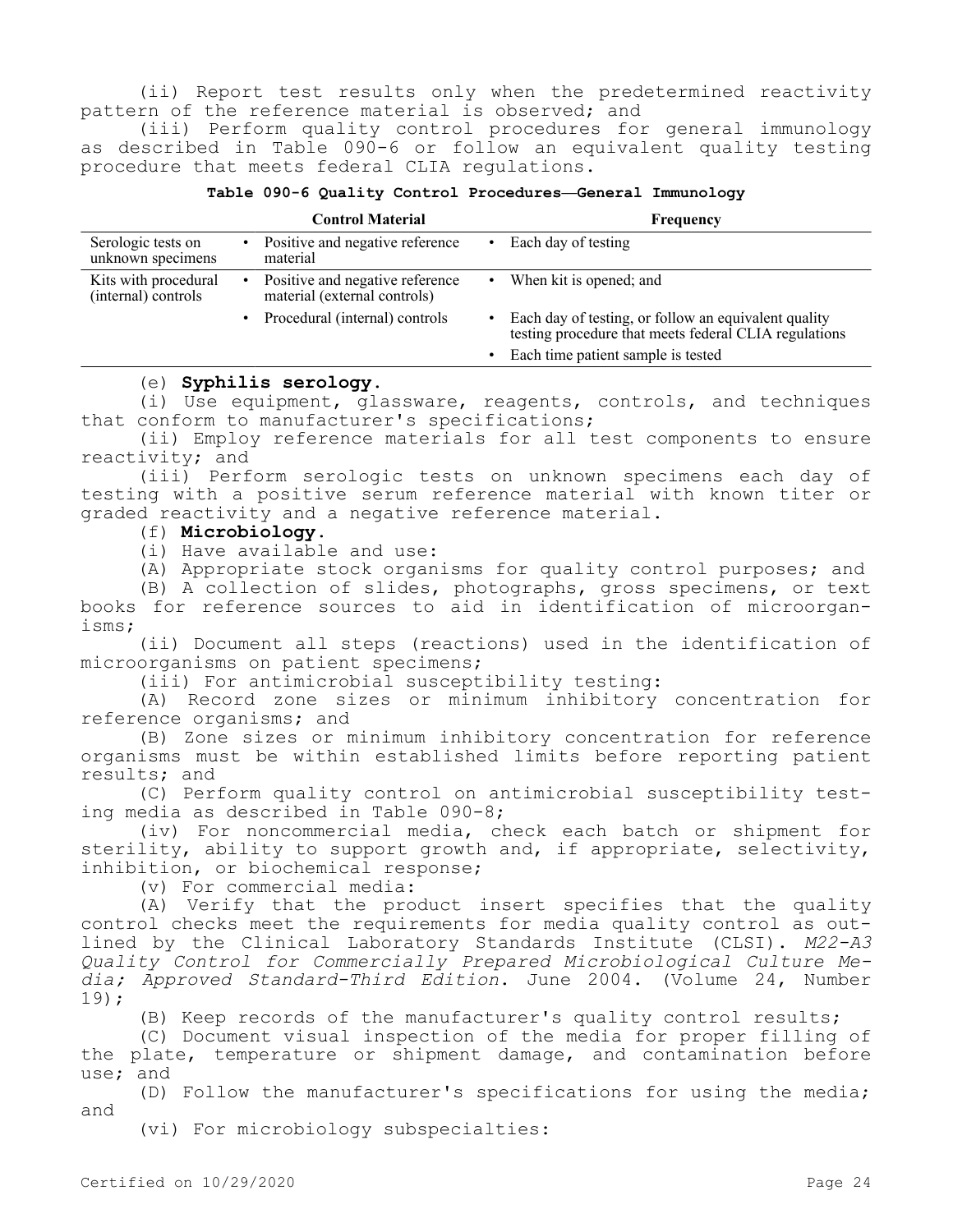(ii) Report test results only when the predetermined reactivity pattern of the reference material is observed; and

(iii) Perform quality control procedures for general immunology as described in Table 090-6 or follow an equivalent quality testing procedure that meets federal CLIA regulations.

**Table 090-6 Quality Control Procedures—General Immunology**

|                                             |           | <b>Control Material</b>                                         |           | Frequency                                                                                                     |
|---------------------------------------------|-----------|-----------------------------------------------------------------|-----------|---------------------------------------------------------------------------------------------------------------|
| Serologic tests on<br>unknown specimens     | ٠         | Positive and negative reference<br>material                     |           | Each day of testing                                                                                           |
| Kits with procedural<br>(internal) controls | ٠         | Positive and negative reference<br>material (external controls) | $\bullet$ | When kit is opened; and                                                                                       |
|                                             | $\bullet$ | Procedural (internal) controls                                  |           | Each day of testing, or follow an equivalent quality<br>testing procedure that meets federal CLIA regulations |
|                                             |           |                                                                 |           | Each time patient sample is tested                                                                            |

# (e) **Syphilis serology.**

(i) Use equipment, glassware, reagents, controls, and techniques that conform to manufacturer's specifications;

(ii) Employ reference materials for all test components to ensure reactivity; and

(iii) Perform serologic tests on unknown specimens each day of testing with a positive serum reference material with known titer or graded reactivity and a negative reference material.

# (f) **Microbiology.**

(i) Have available and use:

(A) Appropriate stock organisms for quality control purposes; and

(B) A collection of slides, photographs, gross specimens, or text books for reference sources to aid in identification of microorganisms;

(ii) Document all steps (reactions) used in the identification of microorganisms on patient specimens;

(iii) For antimicrobial susceptibility testing:

(A) Record zone sizes or minimum inhibitory concentration for reference organisms; and

(B) Zone sizes or minimum inhibitory concentration for reference organisms must be within established limits before reporting patient results; and

(C) Perform quality control on antimicrobial susceptibility testing media as described in Table 090-8;

(iv) For noncommercial media, check each batch or shipment for sterility, ability to support growth and, if appropriate, selectivity, inhibition, or biochemical response;

(v) For commercial media:

(A) Verify that the product insert specifies that the quality control checks meet the requirements for media quality control as outlined by the Clinical Laboratory Standards Institute (CLSI). *M22-A3 Quality Control for Commercially Prepared Microbiological Culture Media; Approved Standard-Third Edition*. June 2004. (Volume 24, Number 19);

(B) Keep records of the manufacturer's quality control results;

(C) Document visual inspection of the media for proper filling of the plate, temperature or shipment damage, and contamination before use; and

(D) Follow the manufacturer's specifications for using the media; and

(vi) For microbiology subspecialties: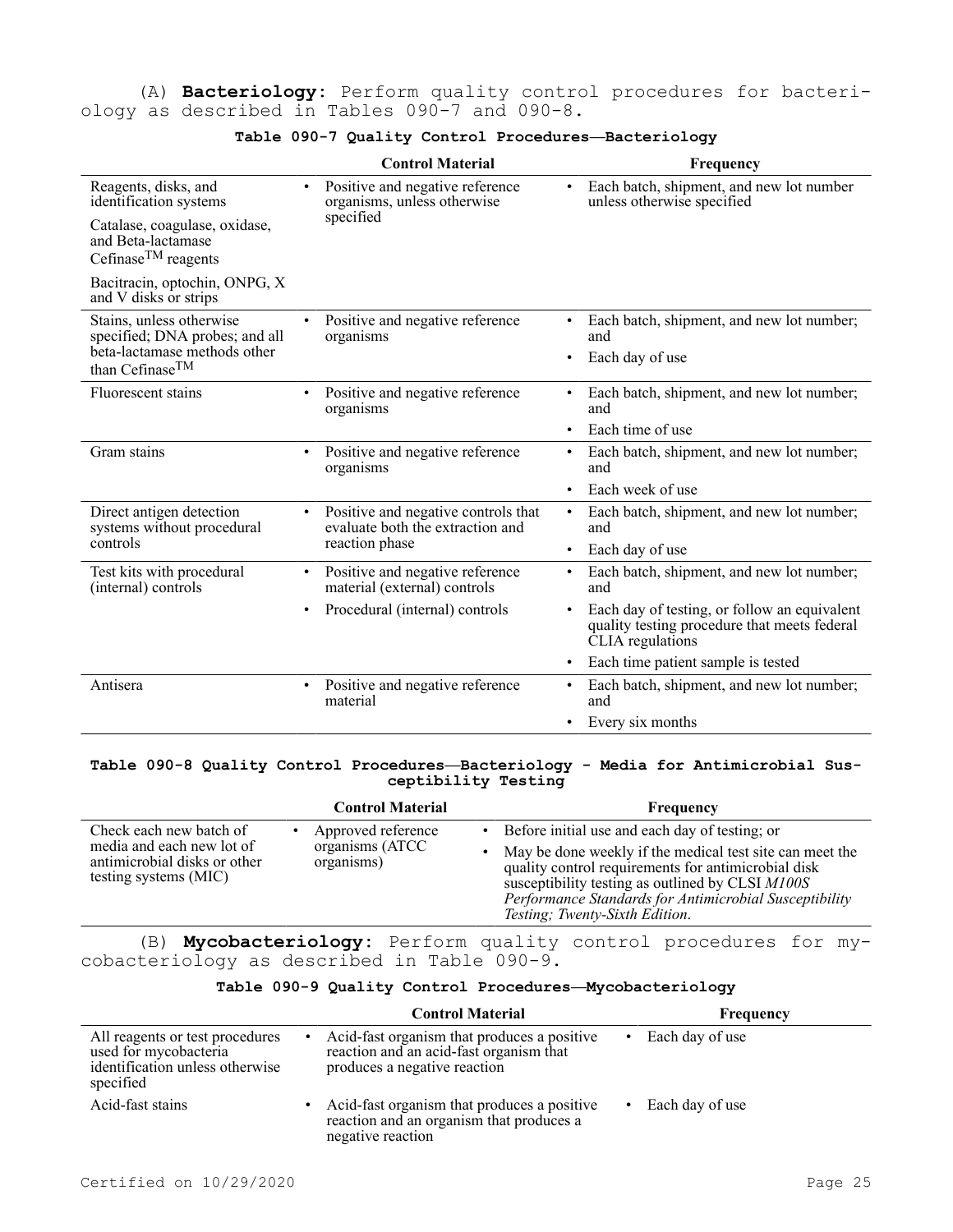(A) **Bacteriology:** Perform quality control procedures for bacteriology as described in Tables 090-7 and 090-8.

|                                                                                            | <b>Control Material</b>                                                              | Frequency                                                                                                        |
|--------------------------------------------------------------------------------------------|--------------------------------------------------------------------------------------|------------------------------------------------------------------------------------------------------------------|
| Reagents, disks, and<br>identification systems                                             | Positive and negative reference<br>٠<br>organisms, unless otherwise                  | Each batch, shipment, and new lot number<br>$\bullet$<br>unless otherwise specified                              |
| Catalase, coagulase, oxidase,<br>and Beta-lactamase<br>Cefinase <sup>TM</sup> reagents     | specified                                                                            |                                                                                                                  |
| Bacitracin, optochin, ONPG, X<br>and V disks or strips                                     |                                                                                      |                                                                                                                  |
| Stains, unless otherwise<br>specified; DNA probes; and all<br>beta-lactamase methods other | Positive and negative reference<br>organisms                                         | Each batch, shipment, and new lot number;<br>٠<br>and                                                            |
| than Cefinase <sup>TM</sup>                                                                |                                                                                      | Each day of use                                                                                                  |
| Fluorescent stains                                                                         | Positive and negative reference<br>$\bullet$<br>organisms                            | Each batch, shipment, and new lot number;<br>and                                                                 |
|                                                                                            |                                                                                      | Each time of use                                                                                                 |
| Gram stains                                                                                | Positive and negative reference<br>٠<br>organisms                                    | Each batch, shipment, and new lot number;<br>$\bullet$<br>and                                                    |
|                                                                                            |                                                                                      | Each week of use<br>$\bullet$                                                                                    |
| Direct antigen detection<br>systems without procedural                                     | Positive and negative controls that<br>$\bullet$<br>evaluate both the extraction and | Each batch, shipment, and new lot number;<br>$\bullet$<br>and                                                    |
| controls                                                                                   | reaction phase                                                                       | Each day of use<br>$\bullet$                                                                                     |
| Test kits with procedural<br>(internal) controls                                           | Positive and negative reference<br>٠<br>material (external) controls                 | Each batch, shipment, and new lot number;<br>$\bullet$<br>and                                                    |
|                                                                                            | Procedural (internal) controls<br>٠                                                  | Each day of testing, or follow an equivalent<br>quality testing procedure that meets federal<br>CLIA regulations |
|                                                                                            |                                                                                      | Each time patient sample is tested<br>٠                                                                          |
| Antisera                                                                                   | Positive and negative reference<br>$\bullet$<br>material                             | Each batch, shipment, and new lot number;<br>٠<br>and                                                            |
|                                                                                            |                                                                                      | Every six months<br>٠                                                                                            |

#### **Table 090-7 Quality Control Procedures—Bacteriology**

#### **Table 090-8 Quality Control Procedures—Bacteriology - Media for Antimicrobial Susceptibility Testing**

|                                                       | <b>Control Material</b>               | Frequency                                                                                                                                                                                                                                                       |
|-------------------------------------------------------|---------------------------------------|-----------------------------------------------------------------------------------------------------------------------------------------------------------------------------------------------------------------------------------------------------------------|
| Check each new batch of<br>media and each new lot of  | Approved reference<br>organisms (ATCC | • Before initial use and each day of testing; or                                                                                                                                                                                                                |
| antimicrobial disks or other<br>testing systems (MIC) | organisms)                            | May be done weekly if the medical test site can meet the<br>quality control requirements for antimicrobial disk<br>susceptibility testing as outlined by CLSI M100S<br>Performance Standards for Antimicrobial Susceptibility<br>Testing; Twenty-Sixth Edition. |

(B) **Mycobacteriology:** Perform quality control procedures for mycobacteriology as described in Table 090-9.

#### **Table 090-9 Quality Control Procedures—Mycobacteriology**

|                                                                                                          |   | <b>Control Material</b>                                                                                                | <b>Frequency</b> |
|----------------------------------------------------------------------------------------------------------|---|------------------------------------------------------------------------------------------------------------------------|------------------|
| All reagents or test procedures<br>used for mycobacteria<br>identification unless otherwise<br>specified |   | Acid-fast organism that produces a positive<br>reaction and an acid-fast organism that<br>produces a negative reaction | Each day of use  |
| Acid-fast stains                                                                                         | ٠ | Acid-fast organism that produces a positive<br>reaction and an organism that produces a<br>negative reaction           | Each day of use  |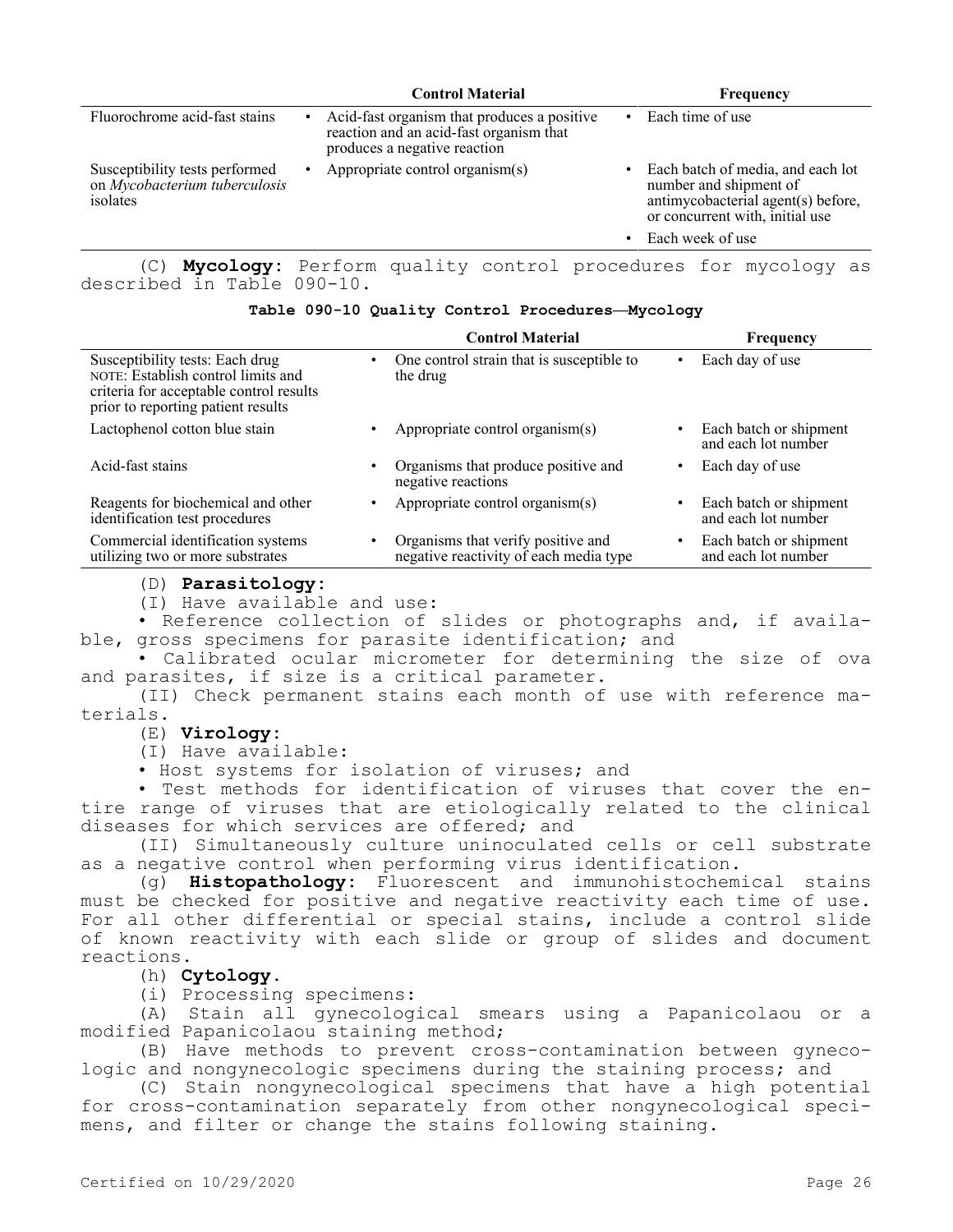|                                                                             |   | <b>Control Material</b>                                                                                                | Frequency                                                                                                                              |
|-----------------------------------------------------------------------------|---|------------------------------------------------------------------------------------------------------------------------|----------------------------------------------------------------------------------------------------------------------------------------|
| Fluorochrome acid-fast stains                                               | ٠ | Acid-fast organism that produces a positive<br>reaction and an acid-fast organism that<br>produces a negative reaction | $\cdot$ Each time of use                                                                                                               |
| Susceptibility tests performed<br>on Mycobacterium tuberculosis<br>isolates | ٠ | Appropriate control organism(s)                                                                                        | • Each batch of media, and each lot<br>number and shipment of<br>antimycobacterial agent(s) before,<br>or concurrent with, initial use |
|                                                                             |   |                                                                                                                        | Each week of use                                                                                                                       |

(C) **Mycology:** Perform quality control procedures for mycology as described in Table 090-10.

| Table 090-10 Quality Control Procedures-Mycology |  |  |  |  |
|--------------------------------------------------|--|--|--|--|
|--------------------------------------------------|--|--|--|--|

| <b>Control Material</b>                                                      | <b>Frequency</b>                                           |
|------------------------------------------------------------------------------|------------------------------------------------------------|
| One control strain that is susceptible to<br>the drug                        | Each day of use<br>$\bullet$                               |
| Appropriate control organism(s)                                              | Each batch or shipment<br>$\bullet$<br>and each lot number |
| Organisms that produce positive and<br>negative reactions                    | Each day of use<br>$\bullet$                               |
| Appropriate control organism(s)                                              | Each batch or shipment<br>and each lot number              |
| Organisms that verify positive and<br>negative reactivity of each media type | Each batch or shipment<br>$\bullet$<br>and each lot number |
|                                                                              | $\bullet$<br>٠                                             |

(D) **Parasitology:**

(I) Have available and use:

• Reference collection of slides or photographs and, if available, gross specimens for parasite identification; and

• Calibrated ocular micrometer for determining the size of ova and parasites, if size is a critical parameter.

(II) Check permanent stains each month of use with reference materials.

(E) **Virology:**

(I) Have available:

• Host systems for isolation of viruses; and

• Test methods for identification of viruses that cover the entire range of viruses that are etiologically related to the clinical diseases for which services are offered; and

(II) Simultaneously culture uninoculated cells or cell substrate as a negative control when performing virus identification.

(g) **Histopathology:** Fluorescent and immunohistochemical stains must be checked for positive and negative reactivity each time of use. For all other differential or special stains, include a control slide of known reactivity with each slide or group of slides and document reactions.

(h) **Cytology.**

(i) Processing specimens:

(A) Stain all gynecological smears using a Papanicolaou or a modified Papanicolaou staining method;

(B) Have methods to prevent cross-contamination between gynecologic and nongynecologic specimens during the staining process; and

(C) Stain nongynecological specimens that have a high potential for cross-contamination separately from other nongynecological specimens, and filter or change the stains following staining.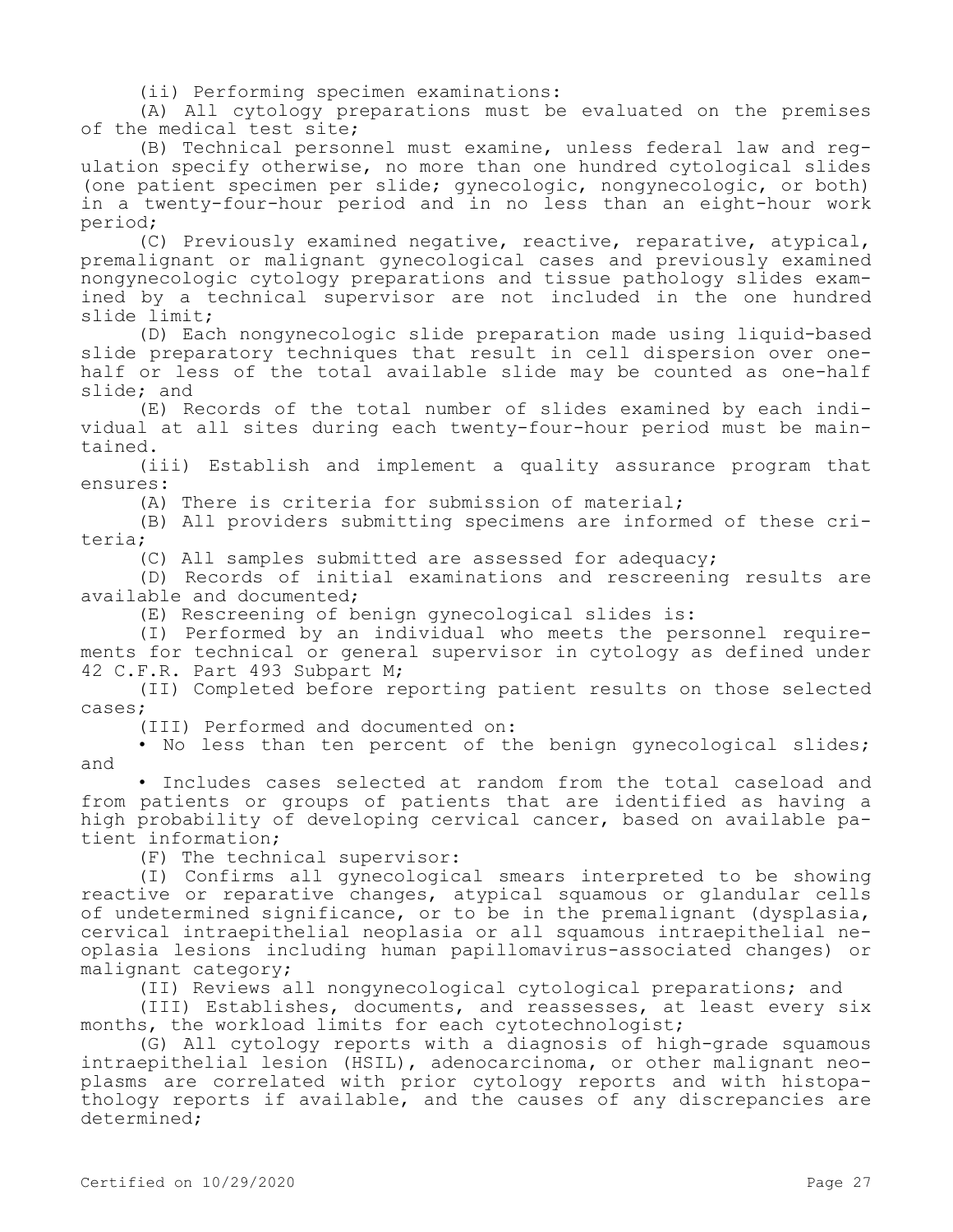(ii) Performing specimen examinations:

(A) All cytology preparations must be evaluated on the premises of the medical test site;

(B) Technical personnel must examine, unless federal law and regulation specify otherwise, no more than one hundred cytological slides (one patient specimen per slide; gynecologic, nongynecologic, or both) in a twenty-four-hour period and in no less than an eight-hour work period;

(C) Previously examined negative, reactive, reparative, atypical, premalignant or malignant gynecological cases and previously examined nongynecologic cytology preparations and tissue pathology slides examined by a technical supervisor are not included in the one hundred slide limit;

(D) Each nongynecologic slide preparation made using liquid-based slide preparatory techniques that result in cell dispersion over onehalf or less of the total available slide may be counted as one-half slide; and

(E) Records of the total number of slides examined by each individual at all sites during each twenty-four-hour period must be maintained.

(iii) Establish and implement a quality assurance program that ensures:

(A) There is criteria for submission of material;

(B) All providers submitting specimens are informed of these criteria;

(C) All samples submitted are assessed for adequacy;

(D) Records of initial examinations and rescreening results are available and documented;

(E) Rescreening of benign gynecological slides is:

(I) Performed by an individual who meets the personnel requirements for technical or general supervisor in cytology as defined under 42 C.F.R. Part 493 Subpart M;

(II) Completed before reporting patient results on those selected cases;

(III) Performed and documented on:

• No less than ten percent of the benign gynecological slides; and

• Includes cases selected at random from the total caseload and from patients or groups of patients that are identified as having a high probability of developing cervical cancer, based on available patient information;

(F) The technical supervisor:

(I) Confirms all gynecological smears interpreted to be showing reactive or reparative changes, atypical squamous or glandular cells of undetermined significance, or to be in the premalignant (dysplasia, cervical intraepithelial neoplasia or all squamous intraepithelial neoplasia lesions including human papillomavirus-associated changes) or malignant category;

(II) Reviews all nongynecological cytological preparations; and

(III) Establishes, documents, and reassesses, at least every six months, the workload limits for each cytotechnologist;

(G) All cytology reports with a diagnosis of high-grade squamous intraepithelial lesion (HSIL), adenocarcinoma, or other malignant neoplasms are correlated with prior cytology reports and with histopathology reports if available, and the causes of any discrepancies are determined;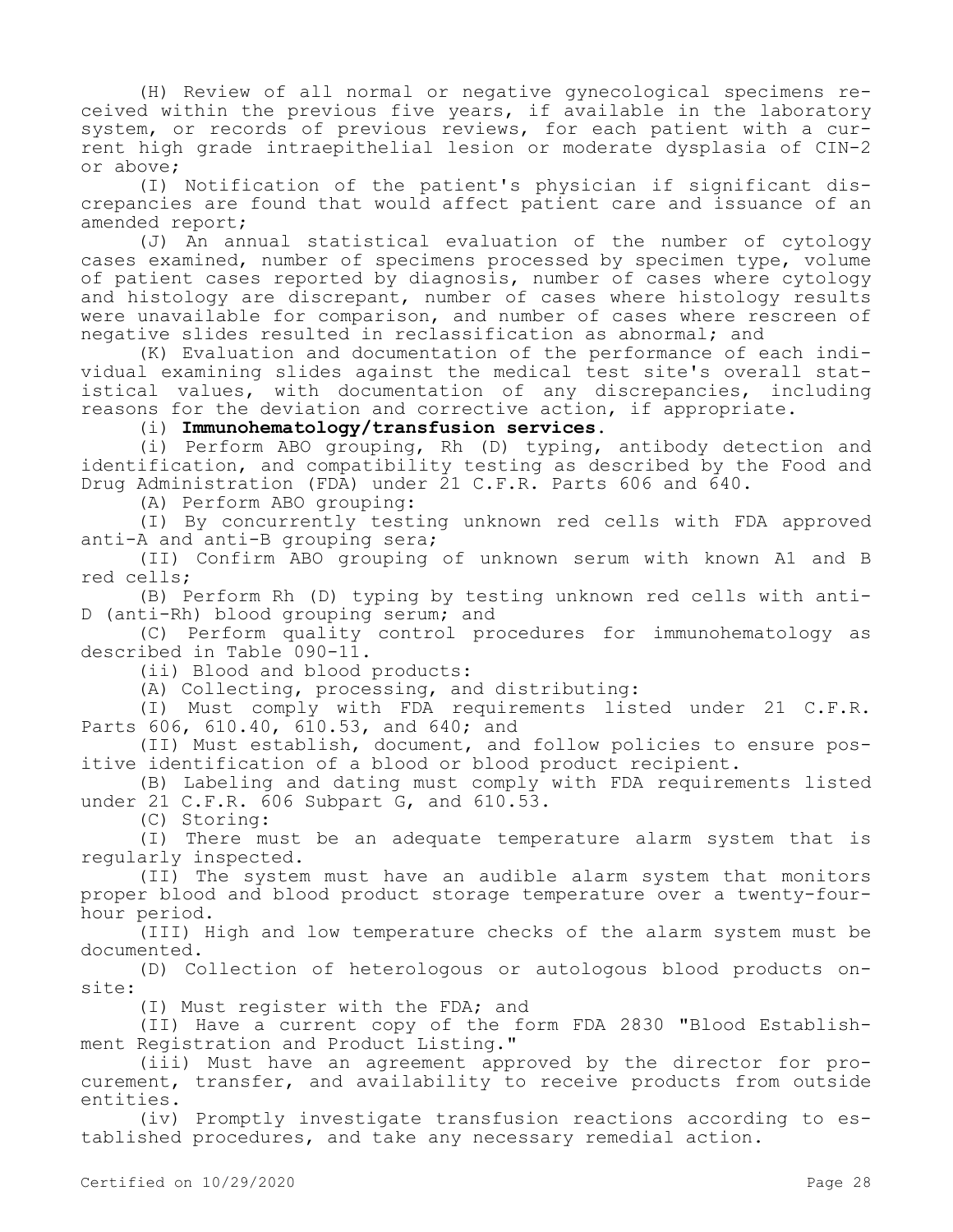(H) Review of all normal or negative gynecological specimens received within the previous five years, if available in the laboratory system, or records of previous reviews, for each patient with a current high grade intraepithelial lesion or moderate dysplasia of CIN-2 or above;

(I) Notification of the patient's physician if significant discrepancies are found that would affect patient care and issuance of an amended report;

(J) An annual statistical evaluation of the number of cytology cases examined, number of specimens processed by specimen type, volume of patient cases reported by diagnosis, number of cases where cytology and histology are discrepant, number of cases where histology results were unavailable for comparison, and number of cases where rescreen of negative slides resulted in reclassification as abnormal; and

(K) Evaluation and documentation of the performance of each individual examining slides against the medical test site's overall statistical values, with documentation of any discrepancies, including reasons for the deviation and corrective action, if appropriate.

(i) **Immunohematology/transfusion services.**

(i) Perform ABO grouping, Rh (D) typing, antibody detection and identification, and compatibility testing as described by the Food and Drug Administration (FDA) under 21 C.F.R. Parts 606 and 640.

(A) Perform ABO grouping:

(I) By concurrently testing unknown red cells with FDA approved anti-A and anti-B grouping sera;

(II) Confirm ABO grouping of unknown serum with known A1 and B red cells;

(B) Perform Rh (D) typing by testing unknown red cells with anti-D (anti-Rh) blood grouping serum; and

(C) Perform quality control procedures for immunohematology as described in Table 090-11.

(ii) Blood and blood products:

(A) Collecting, processing, and distributing:

(I) Must comply with FDA requirements listed under 21 C.F.R. Parts 606, 610.40, 610.53, and 640; and

(II) Must establish, document, and follow policies to ensure positive identification of a blood or blood product recipient.

(B) Labeling and dating must comply with FDA requirements listed under 21 C.F.R. 606 Subpart G, and 610.53.

(C) Storing:

(I) There must be an adequate temperature alarm system that is regularly inspected.

(II) The system must have an audible alarm system that monitors proper blood and blood product storage temperature over a twenty-fourhour period.

(III) High and low temperature checks of the alarm system must be documented.

(D) Collection of heterologous or autologous blood products onsite:

(I) Must register with the FDA; and

(II) Have a current copy of the form FDA 2830 "Blood Establishment Registration and Product Listing."

(iii) Must have an agreement approved by the director for procurement, transfer, and availability to receive products from outside entities.

(iv) Promptly investigate transfusion reactions according to established procedures, and take any necessary remedial action.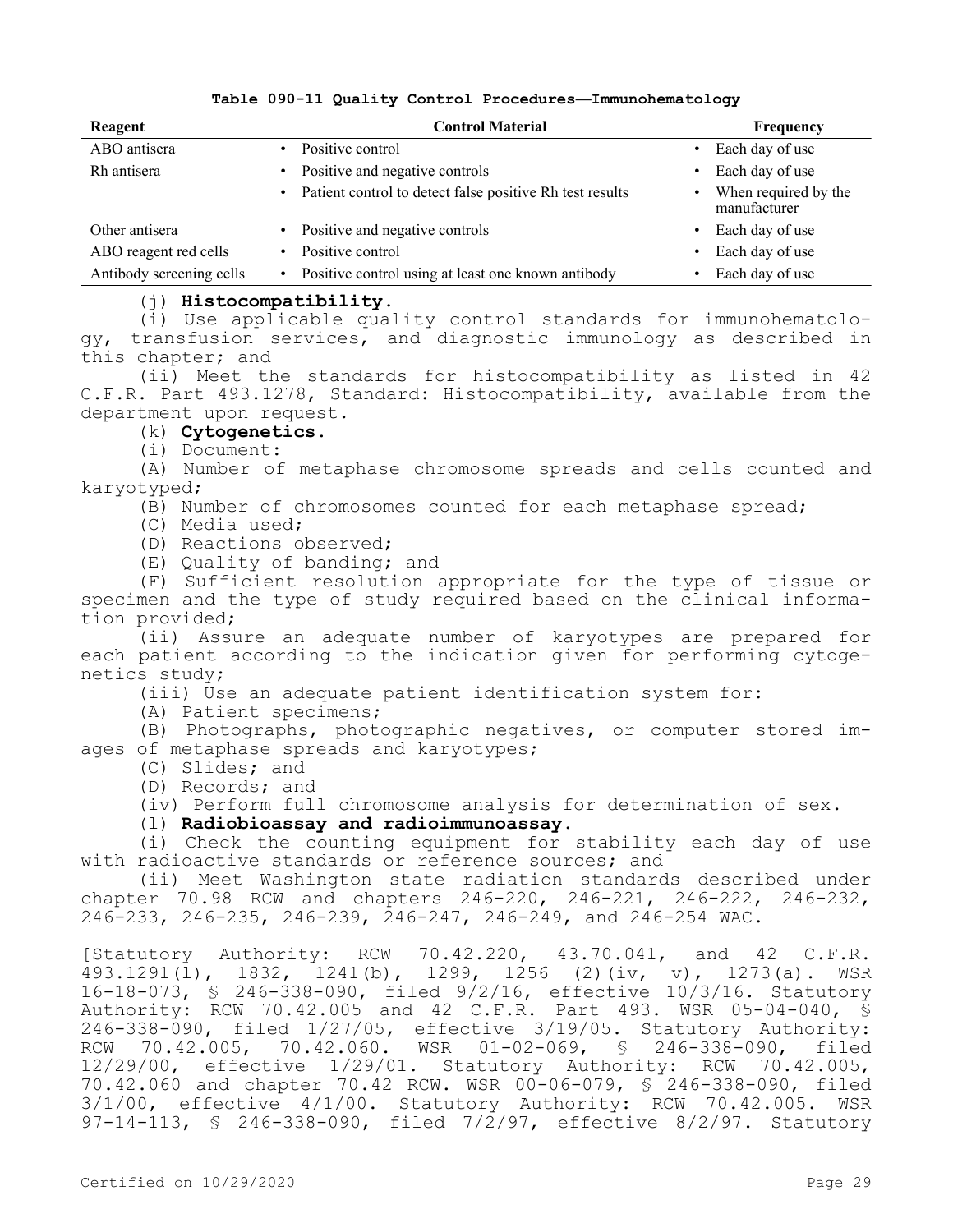|  |  |  |  | Table 090-11 Quality Control Procedures-Immunohematology |
|--|--|--|--|----------------------------------------------------------|
|--|--|--|--|----------------------------------------------------------|

| Reagent                  | <b>Control Material</b>                                  | <b>Frequency</b>                          |
|--------------------------|----------------------------------------------------------|-------------------------------------------|
| ABO antisera             | Positive control                                         | Each day of use<br>$\bullet$              |
| Rh antisera              | Positive and negative controls                           | Each day of use<br>$\bullet$              |
|                          | Patient control to detect false positive Rh test results | When required by the<br>٠<br>manufacturer |
| Other antisera           | Positive and negative controls                           | Each day of use<br>$\bullet$              |
| ABO reagent red cells    | Positive control                                         | Each day of use<br>$\bullet$              |
| Antibody screening cells | Positive control using at least one known antibody       | Each day of use                           |

# (j) **Histocompatibility.**

(i) Use applicable quality control standards for immunohematology, transfusion services, and diagnostic immunology as described in this chapter; and

(ii) Meet the standards for histocompatibility as listed in 42 C.F.R. Part 493.1278, Standard: Histocompatibility, available from the department upon request.

(k) **Cytogenetics.**

(i) Document:

(A) Number of metaphase chromosome spreads and cells counted and karyotyped;

(B) Number of chromosomes counted for each metaphase spread;

(C) Media used;

(D) Reactions observed;

(E) Quality of banding; and

(F) Sufficient resolution appropriate for the type of tissue or specimen and the type of study required based on the clinical information provided;

(ii) Assure an adequate number of karyotypes are prepared for each patient according to the indication given for performing cytogenetics study;

(iii) Use an adequate patient identification system for:

(A) Patient specimens;

(B) Photographs, photographic negatives, or computer stored images of metaphase spreads and karyotypes;

(C) Slides; and

(D) Records; and

(iv) Perform full chromosome analysis for determination of sex.

(l) **Radiobioassay and radioimmunoassay.**

(i) Check the counting equipment for stability each day of use with radioactive standards or reference sources; and

(ii) Meet Washington state radiation standards described under chapter 70.98 RCW and chapters 246-220, 246-221, 246-222, 246-232, 246-233, 246-235, 246-239, 246-247, 246-249, and 246-254 WAC.

[Statutory Authority: RCW 70.42.220, 43.70.041, and 42 C.F.R. 493.1291(l), 1832, 1241(b), 1299, 1256 (2)(iv, v), 1273(a). WSR 16-18-073, § 246-338-090, filed 9/2/16, effective 10/3/16. Statutory Authority: RCW 70.42.005 and 42 C.F.R. Part 493. WSR 05-04-040, § 246-338-090, filed 1/27/05, effective 3/19/05. Statutory Authority: RCW 70.42.005, 70.42.060. WSR 01-02-069, § 246-338-090, filed 12/29/00, effective 1/29/01. Statutory Authority: RCW 70.42.005, 70.42.060 and chapter 70.42 RCW. WSR 00-06-079, § 246-338-090, filed 3/1/00, effective 4/1/00. Statutory Authority: RCW 70.42.005. WSR 97-14-113, § 246-338-090, filed 7/2/97, effective 8/2/97. Statutory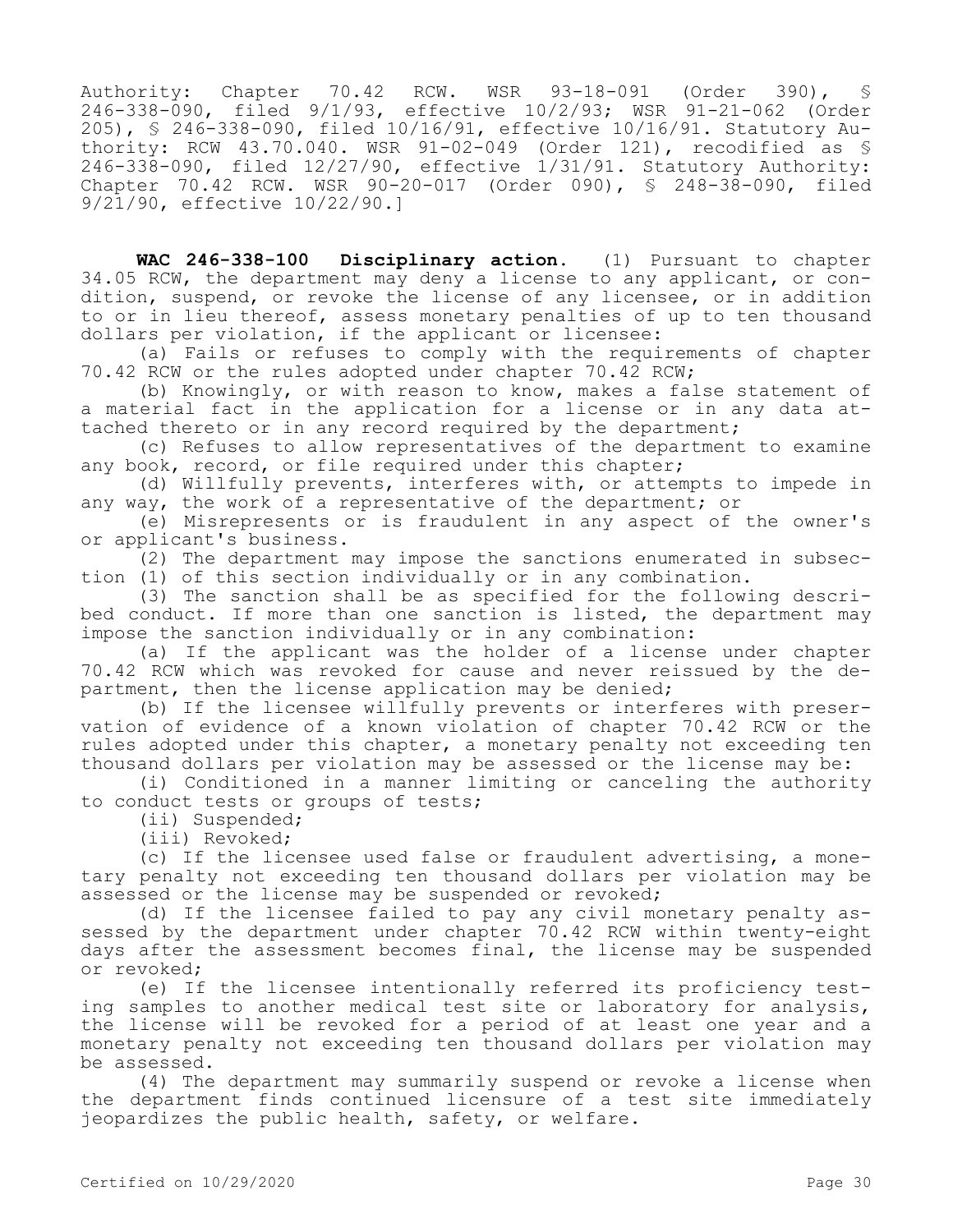Authority: Chapter 70.42 RCW. WSR 93-18-091 (Order 390), § 246-338-090, filed 9/1/93, effective 10/2/93; WSR 91-21-062 (Order 205), § 246-338-090, filed 10/16/91, effective 10/16/91. Statutory Authority: RCW 43.70.040. WSR 91-02-049 (Order 121), recodified as § 246-338-090, filed 12/27/90, effective 1/31/91. Statutory Authority: Chapter 70.42 RCW. WSR 90-20-017 (Order 090), § 248-38-090, filed 9/21/90, effective 10/22/90.]

**WAC 246-338-100 Disciplinary action.** (1) Pursuant to chapter 34.05 RCW, the department may deny a license to any applicant, or condition, suspend, or revoke the license of any licensee, or in addition to or in lieu thereof, assess monetary penalties of up to ten thousand dollars per violation, if the applicant or licensee:

(a) Fails or refuses to comply with the requirements of chapter 70.42 RCW or the rules adopted under chapter 70.42 RCW;

(b) Knowingly, or with reason to know, makes a false statement of a material fact in the application for a license or in any data attached thereto or in any record required by the department;

(c) Refuses to allow representatives of the department to examine any book, record, or file required under this chapter;

(d) Willfully prevents, interferes with, or attempts to impede in any way, the work of a representative of the department; or

(e) Misrepresents or is fraudulent in any aspect of the owner's or applicant's business.

(2) The department may impose the sanctions enumerated in subsection (1) of this section individually or in any combination.

(3) The sanction shall be as specified for the following described conduct. If more than one sanction is listed, the department may impose the sanction individually or in any combination:

(a) If the applicant was the holder of a license under chapter 70.42 RCW which was revoked for cause and never reissued by the department, then the license application may be denied;

(b) If the licensee willfully prevents or interferes with preservation of evidence of a known violation of chapter 70.42 RCW or the rules adopted under this chapter, a monetary penalty not exceeding ten thousand dollars per violation may be assessed or the license may be:

(i) Conditioned in a manner limiting or canceling the authority to conduct tests or groups of tests;

(ii) Suspended;

(iii) Revoked;

(c) If the licensee used false or fraudulent advertising, a monetary penalty not exceeding ten thousand dollars per violation may be assessed or the license may be suspended or revoked;

(d) If the licensee failed to pay any civil monetary penalty assessed by the department under chapter 70.42 RCW within twenty-eight days after the assessment becomes final, the license may be suspended or revoked;

(e) If the licensee intentionally referred its proficiency testing samples to another medical test site or laboratory for analysis, the license will be revoked for a period of at least one year and a monetary penalty not exceeding ten thousand dollars per violation may be assessed.

(4) The department may summarily suspend or revoke a license when the department finds continued licensure of a test site immediately jeopardizes the public health, safety, or welfare.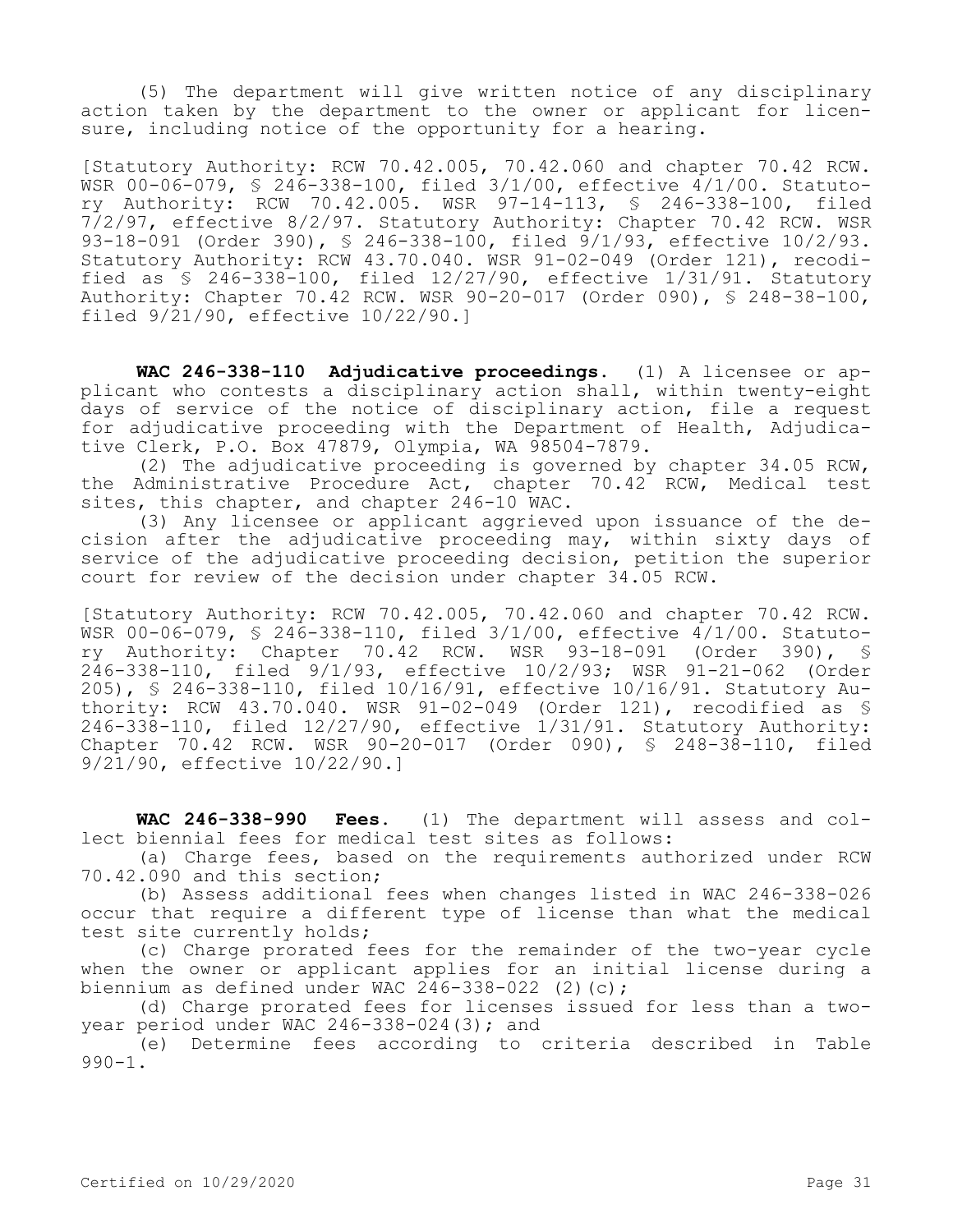(5) The department will give written notice of any disciplinary action taken by the department to the owner or applicant for licensure, including notice of the opportunity for a hearing.

[Statutory Authority: RCW 70.42.005, 70.42.060 and chapter 70.42 RCW. WSR 00-06-079, § 246-338-100, filed 3/1/00, effective 4/1/00. Statutory Authority: RCW 70.42.005. WSR 97-14-113, § 246-338-100, filed 7/2/97, effective 8/2/97. Statutory Authority: Chapter 70.42 RCW. WSR 93-18-091 (Order 390), § 246-338-100, filed 9/1/93, effective 10/2/93. Statutory Authority: RCW 43.70.040. WSR 91-02-049 (Order 121), recodified as § 246-338-100, filed 12/27/90, effective 1/31/91. Statutory Authority: Chapter 70.42 RCW. WSR 90-20-017 (Order 090), § 248-38-100, filed 9/21/90, effective 10/22/90.]

**WAC 246-338-110 Adjudicative proceedings.** (1) A licensee or applicant who contests a disciplinary action shall, within twenty-eight days of service of the notice of disciplinary action, file a request for adjudicative proceeding with the Department of Health, Adjudicative Clerk, P.O. Box 47879, Olympia, WA 98504-7879.

(2) The adjudicative proceeding is governed by chapter 34.05 RCW, the Administrative Procedure Act, chapter 70.42 RCW, Medical test sites, this chapter, and chapter 246-10 WAC.

(3) Any licensee or applicant aggrieved upon issuance of the decision after the adjudicative proceeding may, within sixty days of service of the adjudicative proceeding decision, petition the superior court for review of the decision under chapter 34.05 RCW.

[Statutory Authority: RCW 70.42.005, 70.42.060 and chapter 70.42 RCW. WSR 00-06-079, § 246-338-110, filed 3/1/00, effective 4/1/00. Statutory Authority: Chapter 70.42 RCW. WSR 93-18-091 (Order 390), § 246-338-110, filed 9/1/93, effective 10/2/93; WSR 91-21-062 (Order 205), § 246-338-110, filed 10/16/91, effective 10/16/91. Statutory Authority: RCW 43.70.040. WSR 91-02-049 (Order 121), recodified as § 246-338-110, filed 12/27/90, effective 1/31/91. Statutory Authority: Chapter 70.42 RCW. WSR 90-20-017 (Order 090), § 248-38-110, filed 9/21/90, effective 10/22/90.]

**WAC 246-338-990 Fees.** (1) The department will assess and collect biennial fees for medical test sites as follows:

(a) Charge fees, based on the requirements authorized under RCW 70.42.090 and this section;

(b) Assess additional fees when changes listed in WAC 246-338-026 occur that require a different type of license than what the medical test site currently holds;

(c) Charge prorated fees for the remainder of the two-year cycle when the owner or applicant applies for an initial license during a biennium as defined under WAC  $246-338-022$  (2)(c);

(d) Charge prorated fees for licenses issued for less than a twoyear period under WAC  $246-338-024(3)$ ; and

(e) Determine fees according to criteria described in Table 990-1.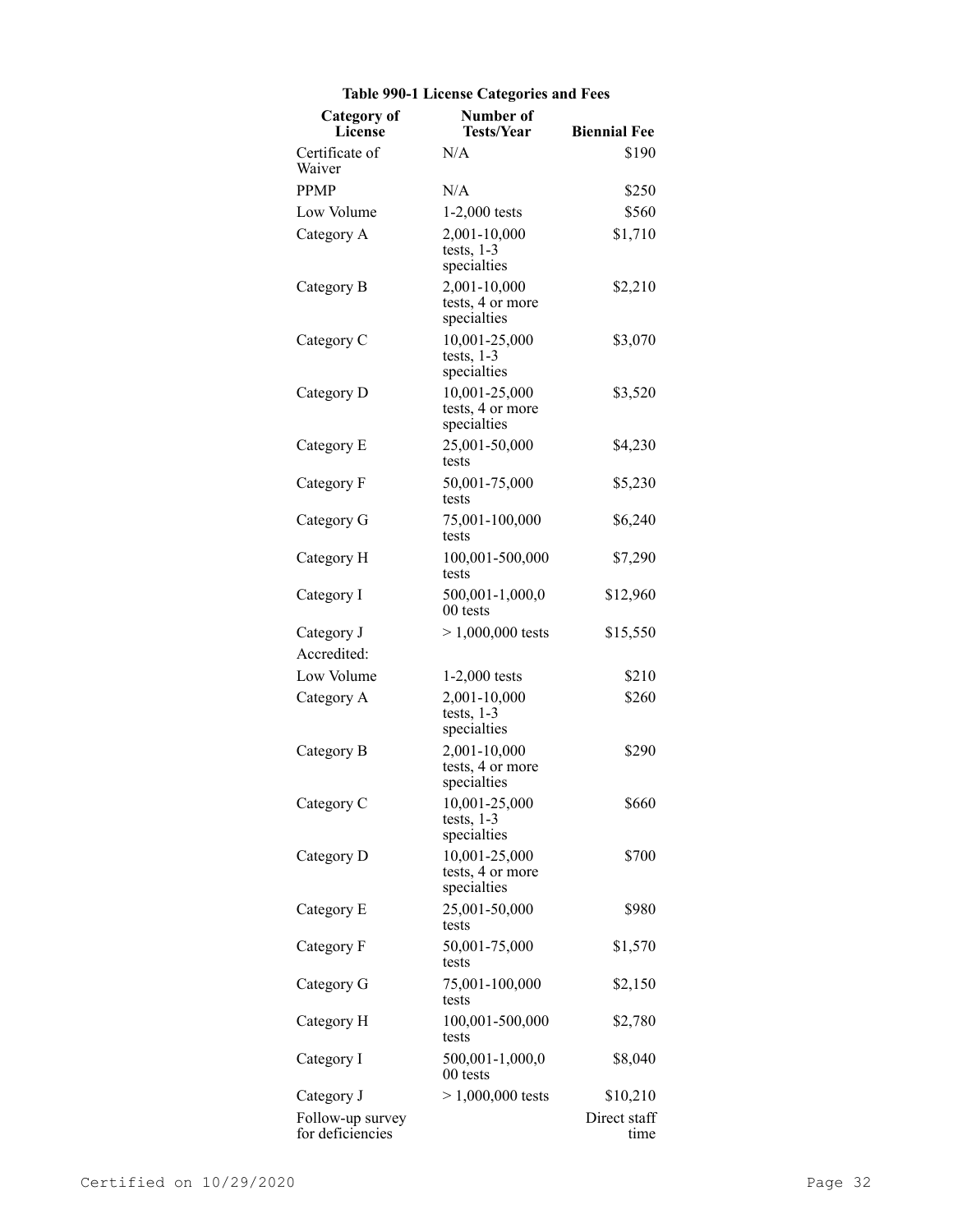| <b>Category of</b><br>License        | Number of<br>Tests/Year                          | <b>Biennial Fee</b>  |
|--------------------------------------|--------------------------------------------------|----------------------|
| Certificate of<br>Waiver             | N/A                                              | \$190                |
| <b>PPMP</b>                          | N/A                                              | \$250                |
| Low Volume                           | $1-2,000$ tests                                  | \$560                |
| Category A                           | 2,001-10,000<br>tests, $1-3$<br>specialties      | \$1,710              |
| Category B                           | 2,001-10,000<br>tests, 4 or more<br>specialties  | \$2,210              |
| Category C                           | 10,001-25,000<br>tests, $1-3$<br>specialties     | \$3,070              |
| Category D                           | 10,001-25,000<br>tests, 4 or more<br>specialties | \$3,520              |
| Category E                           | 25,001-50,000<br>tests                           | \$4,230              |
| Category F                           | 50,001-75,000<br>tests                           | \$5,230              |
| Category G                           | 75,001-100,000<br>tests                          | \$6,240              |
| Category H                           | 100,001-500,000<br>tests                         | \$7,290              |
| Category I                           | 500,001-1,000,0<br>00 tests                      | \$12,960             |
| Category J                           | $> 1,000,000$ tests                              | \$15,550             |
| Accredited:                          |                                                  |                      |
| Low Volume                           | $1-2,000$ tests                                  | \$210                |
| Category A                           | 2,001-10,000<br>tests, $1-3$<br>specialties      | \$260                |
| Category B                           | 2,001-10,000<br>tests, 4 or more<br>specialties  | \$290                |
| Category C                           | 10,001-25,000<br>tests, $1-3$<br>specialties     | \$660                |
| Category D                           | 10,001-25,000<br>tests, 4 or more<br>specialties | \$700                |
| Category E                           | 25,001-50,000<br>tests                           | \$980                |
| Category F                           | 50,001-75,000<br>tests                           | \$1,570              |
| Category G                           | 75,001-100,000<br>tests                          | \$2,150              |
| Category H                           | 100,001-500,000<br>tests                         | \$2,780              |
| Category I                           | 500,001-1,000,0<br>00 tests                      | \$8,040              |
| Category J                           | $> 1,000,000$ tests                              | \$10,210             |
| Follow-up survey<br>for deficiencies |                                                  | Direct staff<br>time |

# **Table 990-1 License Categories and Fees**